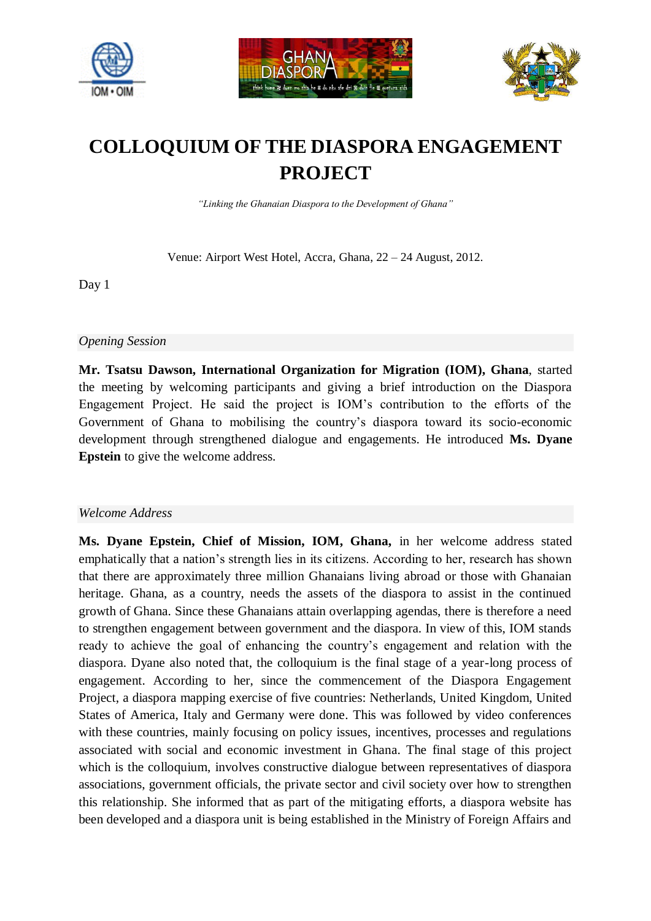





# **COLLOQUIUM OF THE DIASPORA ENGAGEMENT PROJECT**

*"Linking the Ghanaian Diaspora to the Development of Ghana"*

Venue: Airport West Hotel, Accra, Ghana, 22 – 24 August, 2012.

Day 1

*Opening Session*

**Mr. Tsatsu Dawson, International Organization for Migration (IOM), Ghana**, started the meeting by welcoming participants and giving a brief introduction on the Diaspora Engagement Project. He said the project is IOM's contribution to the efforts of the Government of Ghana to mobilising the country's diaspora toward its socio-economic development through strengthened dialogue and engagements. He introduced **Ms. Dyane Epstein** to give the welcome address.

## *Welcome Address*

**Ms. Dyane Epstein, Chief of Mission, IOM, Ghana,** in her welcome address stated emphatically that a nation's strength lies in its citizens. According to her, research has shown that there are approximately three million Ghanaians living abroad or those with Ghanaian heritage. Ghana, as a country, needs the assets of the diaspora to assist in the continued growth of Ghana. Since these Ghanaians attain overlapping agendas, there is therefore a need to strengthen engagement between government and the diaspora. In view of this, IOM stands ready to achieve the goal of enhancing the country's engagement and relation with the diaspora. Dyane also noted that, the colloquium is the final stage of a year-long process of engagement. According to her, since the commencement of the Diaspora Engagement Project, a diaspora mapping exercise of five countries: Netherlands, United Kingdom, United States of America, Italy and Germany were done. This was followed by video conferences with these countries, mainly focusing on policy issues, incentives, processes and regulations associated with social and economic investment in Ghana. The final stage of this project which is the colloquium, involves constructive dialogue between representatives of diaspora associations, government officials, the private sector and civil society over how to strengthen this relationship. She informed that as part of the mitigating efforts, a diaspora website has been developed and a diaspora unit is being established in the Ministry of Foreign Affairs and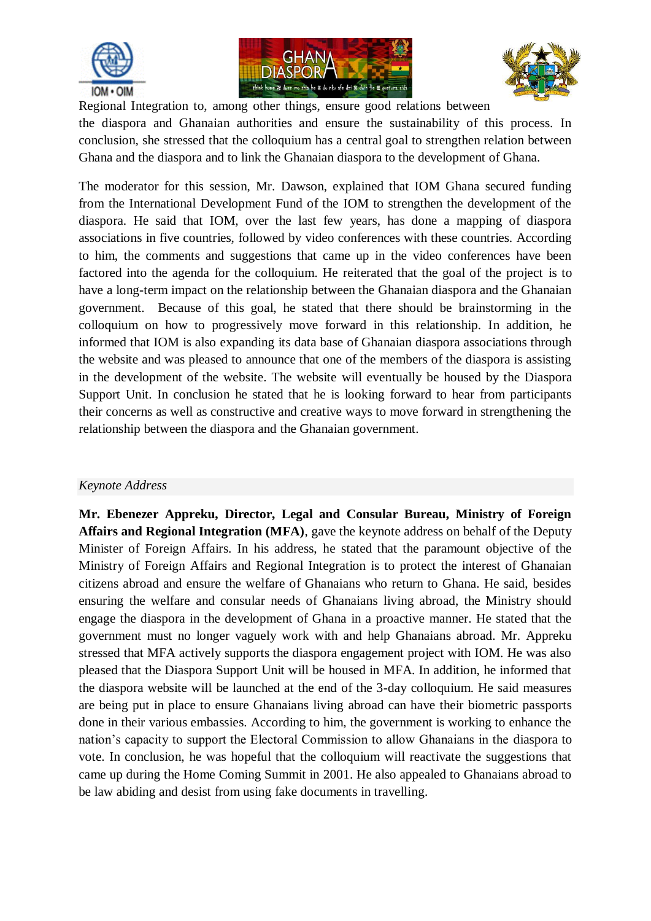





Regional Integration to, among other things, ensure good relations between the diaspora and Ghanaian authorities and ensure the sustainability of this process. In conclusion, she stressed that the colloquium has a central goal to strengthen relation between Ghana and the diaspora and to link the Ghanaian diaspora to the development of Ghana.

The moderator for this session, Mr. Dawson, explained that IOM Ghana secured funding from the International Development Fund of the IOM to strengthen the development of the diaspora. He said that IOM, over the last few years, has done a mapping of diaspora associations in five countries, followed by video conferences with these countries. According to him, the comments and suggestions that came up in the video conferences have been factored into the agenda for the colloquium. He reiterated that the goal of the project is to have a long-term impact on the relationship between the Ghanaian diaspora and the Ghanaian government. Because of this goal, he stated that there should be brainstorming in the colloquium on how to progressively move forward in this relationship. In addition, he informed that IOM is also expanding its data base of Ghanaian diaspora associations through the website and was pleased to announce that one of the members of the diaspora is assisting in the development of the website. The website will eventually be housed by the Diaspora Support Unit. In conclusion he stated that he is looking forward to hear from participants their concerns as well as constructive and creative ways to move forward in strengthening the relationship between the diaspora and the Ghanaian government.

## *Keynote Address*

**Mr. Ebenezer Appreku, Director, Legal and Consular Bureau, Ministry of Foreign Affairs and Regional Integration (MFA)**, gave the keynote address on behalf of the Deputy Minister of Foreign Affairs. In his address, he stated that the paramount objective of the Ministry of Foreign Affairs and Regional Integration is to protect the interest of Ghanaian citizens abroad and ensure the welfare of Ghanaians who return to Ghana. He said, besides ensuring the welfare and consular needs of Ghanaians living abroad, the Ministry should engage the diaspora in the development of Ghana in a proactive manner. He stated that the government must no longer vaguely work with and help Ghanaians abroad. Mr. Appreku stressed that MFA actively supports the diaspora engagement project with IOM. He was also pleased that the Diaspora Support Unit will be housed in MFA. In addition, he informed that the diaspora website will be launched at the end of the 3-day colloquium. He said measures are being put in place to ensure Ghanaians living abroad can have their biometric passports done in their various embassies. According to him, the government is working to enhance the nation's capacity to support the Electoral Commission to allow Ghanaians in the diaspora to vote. In conclusion, he was hopeful that the colloquium will reactivate the suggestions that came up during the Home Coming Summit in 2001. He also appealed to Ghanaians abroad to be law abiding and desist from using fake documents in travelling.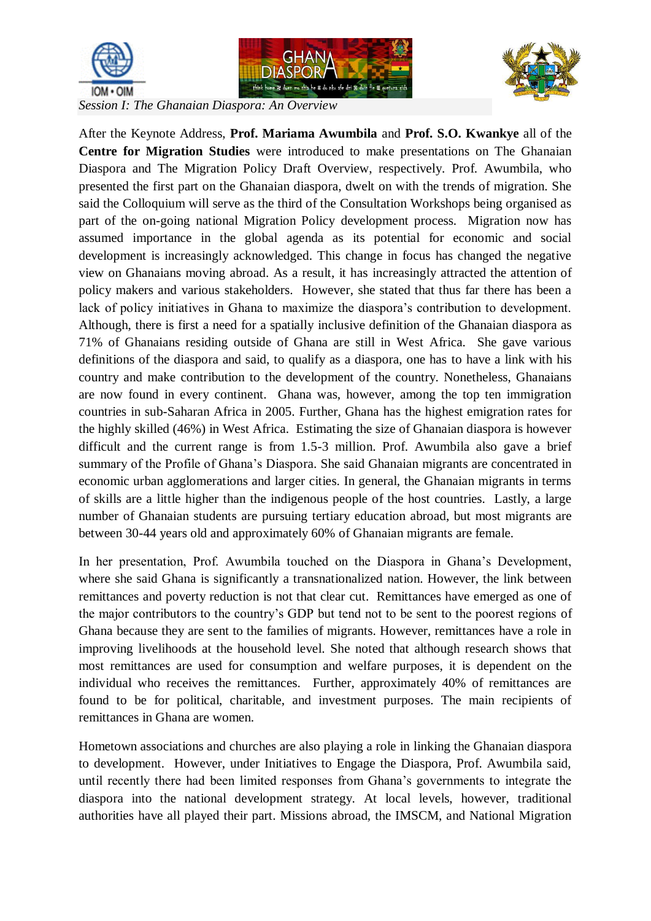





*Session I: The Ghanaian Diaspora: An Overview*

After the Keynote Address, **Prof. Mariama Awumbila** and **Prof. S.O. Kwankye** all of the **Centre for Migration Studies** were introduced to make presentations on The Ghanaian Diaspora and The Migration Policy Draft Overview, respectively. Prof. Awumbila, who presented the first part on the Ghanaian diaspora, dwelt on with the trends of migration. She said the Colloquium will serve as the third of the Consultation Workshops being organised as part of the on-going national Migration Policy development process. Migration now has assumed importance in the global agenda as its potential for economic and social development is increasingly acknowledged. This change in focus has changed the negative view on Ghanaians moving abroad. As a result, it has increasingly attracted the attention of policy makers and various stakeholders. However, she stated that thus far there has been a lack of policy initiatives in Ghana to maximize the diaspora's contribution to development. Although, there is first a need for a spatially inclusive definition of the Ghanaian diaspora as 71% of Ghanaians residing outside of Ghana are still in West Africa. She gave various definitions of the diaspora and said, to qualify as a diaspora, one has to have a link with his country and make contribution to the development of the country. Nonetheless, Ghanaians are now found in every continent. Ghana was, however, among the top ten immigration countries in sub-Saharan Africa in 2005. Further, Ghana has the highest emigration rates for the highly skilled (46%) in West Africa. Estimating the size of Ghanaian diaspora is however difficult and the current range is from 1.5-3 million. Prof. Awumbila also gave a brief summary of the Profile of Ghana's Diaspora. She said Ghanaian migrants are concentrated in economic urban agglomerations and larger cities. In general, the Ghanaian migrants in terms of skills are a little higher than the indigenous people of the host countries. Lastly, a large number of Ghanaian students are pursuing tertiary education abroad, but most migrants are between 30-44 years old and approximately 60% of Ghanaian migrants are female.

In her presentation, Prof. Awumbila touched on the Diaspora in Ghana's Development, where she said Ghana is significantly a transnationalized nation. However, the link between remittances and poverty reduction is not that clear cut. Remittances have emerged as one of the major contributors to the country's GDP but tend not to be sent to the poorest regions of Ghana because they are sent to the families of migrants. However, remittances have a role in improving livelihoods at the household level. She noted that although research shows that most remittances are used for consumption and welfare purposes, it is dependent on the individual who receives the remittances. Further, approximately 40% of remittances are found to be for political, charitable, and investment purposes. The main recipients of remittances in Ghana are women.

Hometown associations and churches are also playing a role in linking the Ghanaian diaspora to development. However, under Initiatives to Engage the Diaspora, Prof. Awumbila said, until recently there had been limited responses from Ghana's governments to integrate the diaspora into the national development strategy. At local levels, however, traditional authorities have all played their part. Missions abroad, the IMSCM, and National Migration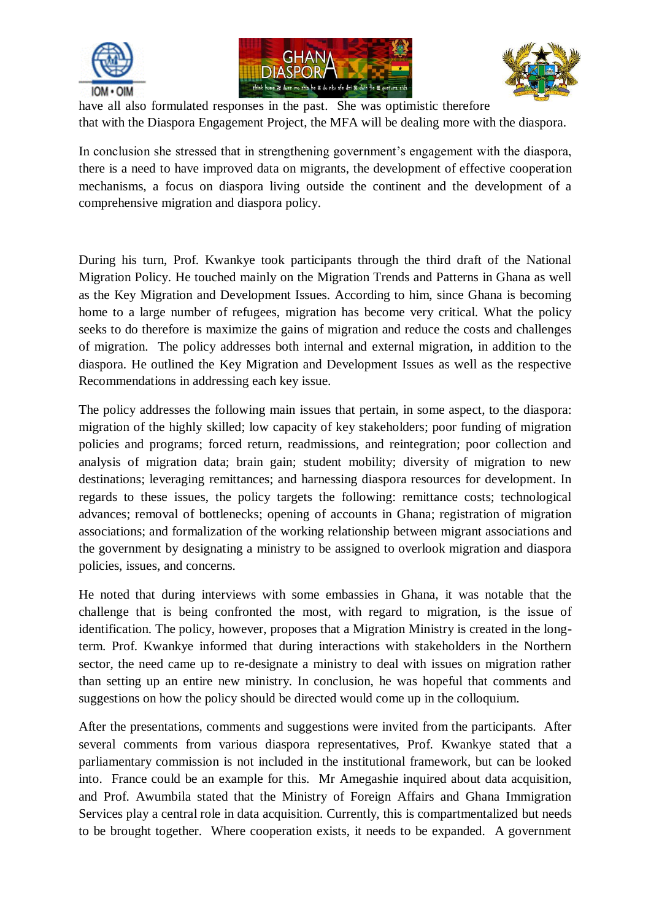





have all also formulated responses in the past. She was optimistic therefore that with the Diaspora Engagement Project, the MFA will be dealing more with the diaspora.

In conclusion she stressed that in strengthening government's engagement with the diaspora, there is a need to have improved data on migrants, the development of effective cooperation mechanisms, a focus on diaspora living outside the continent and the development of a comprehensive migration and diaspora policy.

During his turn, Prof. Kwankye took participants through the third draft of the National Migration Policy. He touched mainly on the Migration Trends and Patterns in Ghana as well as the Key Migration and Development Issues. According to him, since Ghana is becoming home to a large number of refugees, migration has become very critical. What the policy seeks to do therefore is maximize the gains of migration and reduce the costs and challenges of migration. The policy addresses both internal and external migration, in addition to the diaspora. He outlined the Key Migration and Development Issues as well as the respective Recommendations in addressing each key issue.

The policy addresses the following main issues that pertain, in some aspect, to the diaspora: migration of the highly skilled; low capacity of key stakeholders; poor funding of migration policies and programs; forced return, readmissions, and reintegration; poor collection and analysis of migration data; brain gain; student mobility; diversity of migration to new destinations; leveraging remittances; and harnessing diaspora resources for development. In regards to these issues, the policy targets the following: remittance costs; technological advances; removal of bottlenecks; opening of accounts in Ghana; registration of migration associations; and formalization of the working relationship between migrant associations and the government by designating a ministry to be assigned to overlook migration and diaspora policies, issues, and concerns.

He noted that during interviews with some embassies in Ghana, it was notable that the challenge that is being confronted the most, with regard to migration, is the issue of identification. The policy, however, proposes that a Migration Ministry is created in the longterm. Prof. Kwankye informed that during interactions with stakeholders in the Northern sector, the need came up to re-designate a ministry to deal with issues on migration rather than setting up an entire new ministry. In conclusion, he was hopeful that comments and suggestions on how the policy should be directed would come up in the colloquium.

After the presentations, comments and suggestions were invited from the participants. After several comments from various diaspora representatives, Prof. Kwankye stated that a parliamentary commission is not included in the institutional framework, but can be looked into. France could be an example for this. Mr Amegashie inquired about data acquisition, and Prof. Awumbila stated that the Ministry of Foreign Affairs and Ghana Immigration Services play a central role in data acquisition. Currently, this is compartmentalized but needs to be brought together. Where cooperation exists, it needs to be expanded. A government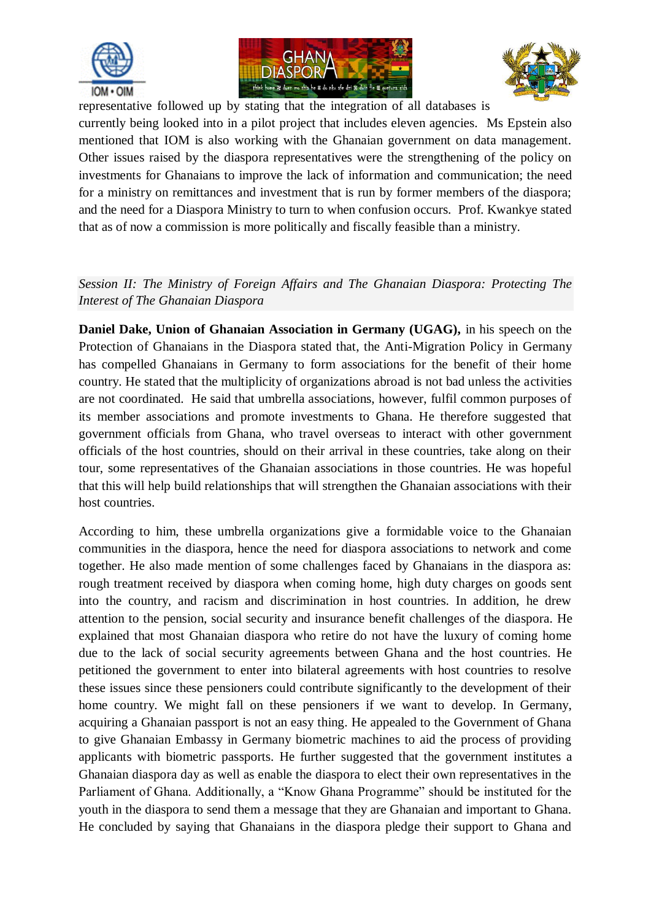





representative followed up by stating that the integration of all databases is currently being looked into in a pilot project that includes eleven agencies. Ms Epstein also mentioned that IOM is also working with the Ghanaian government on data management. Other issues raised by the diaspora representatives were the strengthening of the policy on investments for Ghanaians to improve the lack of information and communication; the need for a ministry on remittances and investment that is run by former members of the diaspora; and the need for a Diaspora Ministry to turn to when confusion occurs. Prof. Kwankye stated that as of now a commission is more politically and fiscally feasible than a ministry.

## *Session II: The Ministry of Foreign Affairs and The Ghanaian Diaspora: Protecting The Interest of The Ghanaian Diaspora*

**Daniel Dake, Union of Ghanaian Association in Germany (UGAG),** in his speech on the Protection of Ghanaians in the Diaspora stated that, the Anti-Migration Policy in Germany has compelled Ghanaians in Germany to form associations for the benefit of their home country. He stated that the multiplicity of organizations abroad is not bad unless the activities are not coordinated. He said that umbrella associations, however, fulfil common purposes of its member associations and promote investments to Ghana. He therefore suggested that government officials from Ghana, who travel overseas to interact with other government officials of the host countries, should on their arrival in these countries, take along on their tour, some representatives of the Ghanaian associations in those countries. He was hopeful that this will help build relationships that will strengthen the Ghanaian associations with their host countries.

According to him, these umbrella organizations give a formidable voice to the Ghanaian communities in the diaspora, hence the need for diaspora associations to network and come together. He also made mention of some challenges faced by Ghanaians in the diaspora as: rough treatment received by diaspora when coming home, high duty charges on goods sent into the country, and racism and discrimination in host countries. In addition, he drew attention to the pension, social security and insurance benefit challenges of the diaspora. He explained that most Ghanaian diaspora who retire do not have the luxury of coming home due to the lack of social security agreements between Ghana and the host countries. He petitioned the government to enter into bilateral agreements with host countries to resolve these issues since these pensioners could contribute significantly to the development of their home country. We might fall on these pensioners if we want to develop. In Germany, acquiring a Ghanaian passport is not an easy thing. He appealed to the Government of Ghana to give Ghanaian Embassy in Germany biometric machines to aid the process of providing applicants with biometric passports. He further suggested that the government institutes a Ghanaian diaspora day as well as enable the diaspora to elect their own representatives in the Parliament of Ghana. Additionally, a "Know Ghana Programme" should be instituted for the youth in the diaspora to send them a message that they are Ghanaian and important to Ghana. He concluded by saying that Ghanaians in the diaspora pledge their support to Ghana and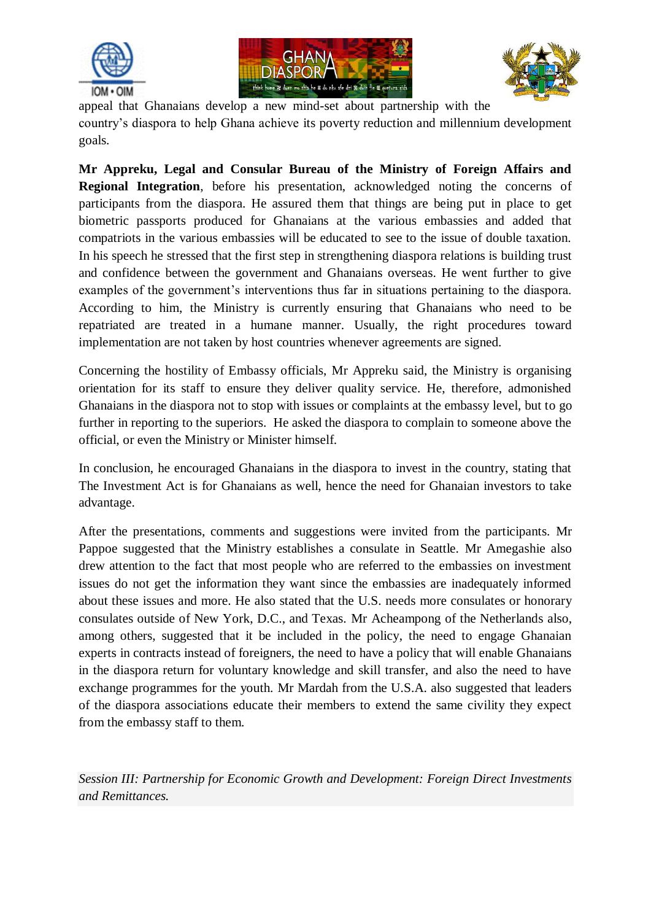





appeal that Ghanaians develop a new mind-set about partnership with the country's diaspora to help Ghana achieve its poverty reduction and millennium development goals.

**Mr Appreku, Legal and Consular Bureau of the Ministry of Foreign Affairs and Regional Integration**, before his presentation, acknowledged noting the concerns of participants from the diaspora. He assured them that things are being put in place to get biometric passports produced for Ghanaians at the various embassies and added that compatriots in the various embassies will be educated to see to the issue of double taxation. In his speech he stressed that the first step in strengthening diaspora relations is building trust and confidence between the government and Ghanaians overseas. He went further to give examples of the government's interventions thus far in situations pertaining to the diaspora. According to him, the Ministry is currently ensuring that Ghanaians who need to be repatriated are treated in a humane manner. Usually, the right procedures toward implementation are not taken by host countries whenever agreements are signed.

Concerning the hostility of Embassy officials, Mr Appreku said, the Ministry is organising orientation for its staff to ensure they deliver quality service. He, therefore, admonished Ghanaians in the diaspora not to stop with issues or complaints at the embassy level, but to go further in reporting to the superiors. He asked the diaspora to complain to someone above the official, or even the Ministry or Minister himself.

In conclusion, he encouraged Ghanaians in the diaspora to invest in the country, stating that The Investment Act is for Ghanaians as well, hence the need for Ghanaian investors to take advantage.

After the presentations, comments and suggestions were invited from the participants. Mr Pappoe suggested that the Ministry establishes a consulate in Seattle. Mr Amegashie also drew attention to the fact that most people who are referred to the embassies on investment issues do not get the information they want since the embassies are inadequately informed about these issues and more. He also stated that the U.S. needs more consulates or honorary consulates outside of New York, D.C., and Texas. Mr Acheampong of the Netherlands also, among others, suggested that it be included in the policy, the need to engage Ghanaian experts in contracts instead of foreigners, the need to have a policy that will enable Ghanaians in the diaspora return for voluntary knowledge and skill transfer, and also the need to have exchange programmes for the youth. Mr Mardah from the U.S.A. also suggested that leaders of the diaspora associations educate their members to extend the same civility they expect from the embassy staff to them.

*Session III: Partnership for Economic Growth and Development: Foreign Direct Investments and Remittances.*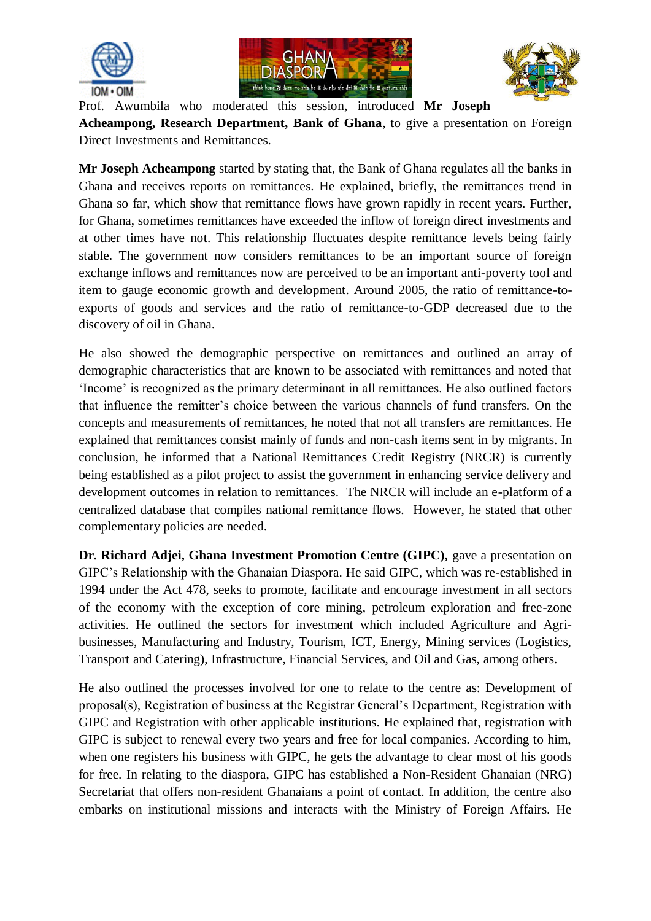





Prof. Awumbila who moderated this session, introduced **Mr Joseph Acheampong, Research Department, Bank of Ghana**, to give a presentation on Foreign Direct Investments and Remittances.

**Mr Joseph Acheampong** started by stating that, the Bank of Ghana regulates all the banks in Ghana and receives reports on remittances. He explained, briefly, the remittances trend in Ghana so far, which show that remittance flows have grown rapidly in recent years. Further, for Ghana, sometimes remittances have exceeded the inflow of foreign direct investments and at other times have not. This relationship fluctuates despite remittance levels being fairly stable. The government now considers remittances to be an important source of foreign exchange inflows and remittances now are perceived to be an important anti-poverty tool and item to gauge economic growth and development. Around 2005, the ratio of remittance-toexports of goods and services and the ratio of remittance-to-GDP decreased due to the discovery of oil in Ghana.

He also showed the demographic perspective on remittances and outlined an array of demographic characteristics that are known to be associated with remittances and noted that 'Income' is recognized as the primary determinant in all remittances. He also outlined factors that influence the remitter's choice between the various channels of fund transfers. On the concepts and measurements of remittances, he noted that not all transfers are remittances. He explained that remittances consist mainly of funds and non-cash items sent in by migrants. In conclusion, he informed that a National Remittances Credit Registry (NRCR) is currently being established as a pilot project to assist the government in enhancing service delivery and development outcomes in relation to remittances. The NRCR will include an e-platform of a centralized database that compiles national remittance flows. However, he stated that other complementary policies are needed.

**Dr. Richard Adjei, Ghana Investment Promotion Centre (GIPC),** gave a presentation on GIPC's Relationship with the Ghanaian Diaspora. He said GIPC, which was re-established in 1994 under the Act 478, seeks to promote, facilitate and encourage investment in all sectors of the economy with the exception of core mining, petroleum exploration and free-zone activities. He outlined the sectors for investment which included Agriculture and Agribusinesses, Manufacturing and Industry, Tourism, ICT, Energy, Mining services (Logistics, Transport and Catering), Infrastructure, Financial Services, and Oil and Gas, among others.

He also outlined the processes involved for one to relate to the centre as: Development of proposal(s), Registration of business at the Registrar General's Department, Registration with GIPC and Registration with other applicable institutions. He explained that, registration with GIPC is subject to renewal every two years and free for local companies. According to him, when one registers his business with GIPC, he gets the advantage to clear most of his goods for free. In relating to the diaspora, GIPC has established a Non-Resident Ghanaian (NRG) Secretariat that offers non-resident Ghanaians a point of contact. In addition, the centre also embarks on institutional missions and interacts with the Ministry of Foreign Affairs. He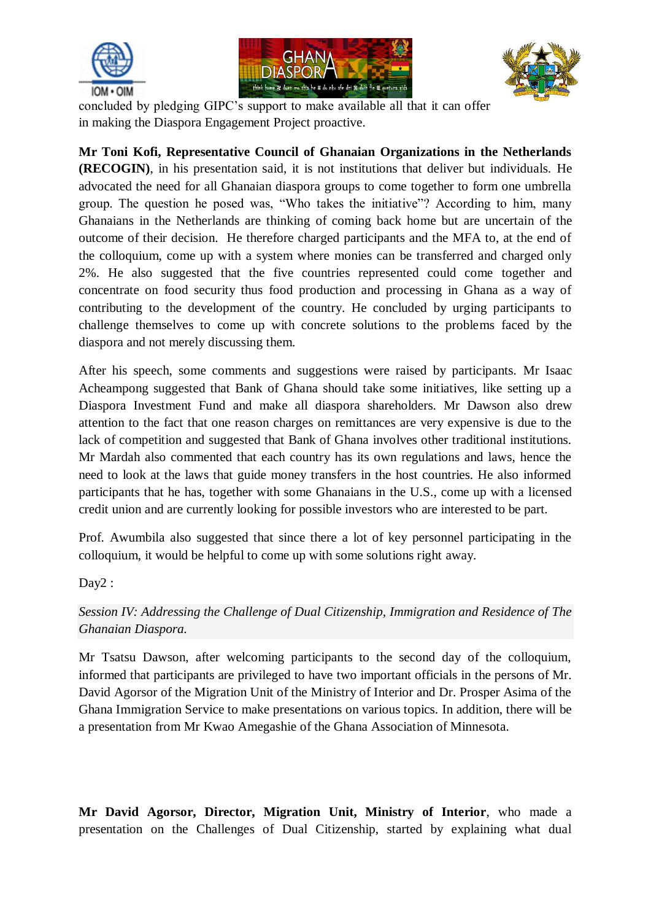





concluded by pledging GIPC's support to make available all that it can offer in making the Diaspora Engagement Project proactive.

**Mr Toni Kofi, Representative Council of Ghanaian Organizations in the Netherlands (RECOGIN)**, in his presentation said, it is not institutions that deliver but individuals. He advocated the need for all Ghanaian diaspora groups to come together to form one umbrella group. The question he posed was, "Who takes the initiative"? According to him, many Ghanaians in the Netherlands are thinking of coming back home but are uncertain of the outcome of their decision. He therefore charged participants and the MFA to, at the end of the colloquium, come up with a system where monies can be transferred and charged only 2%. He also suggested that the five countries represented could come together and concentrate on food security thus food production and processing in Ghana as a way of contributing to the development of the country. He concluded by urging participants to challenge themselves to come up with concrete solutions to the problems faced by the diaspora and not merely discussing them.

After his speech, some comments and suggestions were raised by participants. Mr Isaac Acheampong suggested that Bank of Ghana should take some initiatives, like setting up a Diaspora Investment Fund and make all diaspora shareholders. Mr Dawson also drew attention to the fact that one reason charges on remittances are very expensive is due to the lack of competition and suggested that Bank of Ghana involves other traditional institutions. Mr Mardah also commented that each country has its own regulations and laws, hence the need to look at the laws that guide money transfers in the host countries. He also informed participants that he has, together with some Ghanaians in the U.S., come up with a licensed credit union and are currently looking for possible investors who are interested to be part.

Prof. Awumbila also suggested that since there a lot of key personnel participating in the colloquium, it would be helpful to come up with some solutions right away.

Day2:

*Session IV: Addressing the Challenge of Dual Citizenship, Immigration and Residence of The Ghanaian Diaspora.*

Mr Tsatsu Dawson, after welcoming participants to the second day of the colloquium, informed that participants are privileged to have two important officials in the persons of Mr. David Agorsor of the Migration Unit of the Ministry of Interior and Dr. Prosper Asima of the Ghana Immigration Service to make presentations on various topics. In addition, there will be a presentation from Mr Kwao Amegashie of the Ghana Association of Minnesota.

**Mr David Agorsor, Director, Migration Unit, Ministry of Interior**, who made a presentation on the Challenges of Dual Citizenship, started by explaining what dual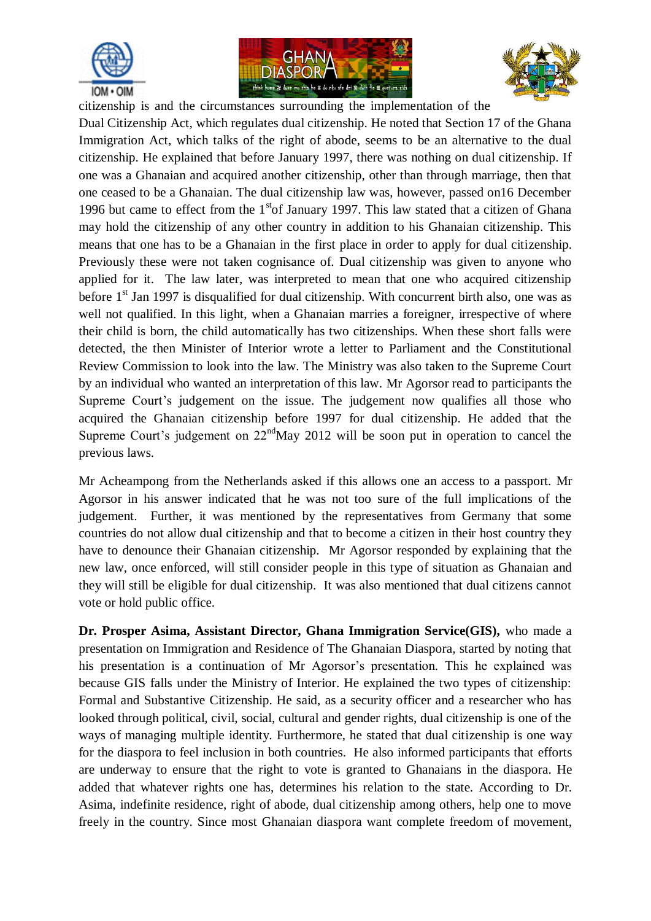





citizenship is and the circumstances surrounding the implementation of the

Dual Citizenship Act, which regulates dual citizenship. He noted that Section 17 of the Ghana Immigration Act, which talks of the right of abode, seems to be an alternative to the dual citizenship. He explained that before January 1997, there was nothing on dual citizenship. If one was a Ghanaian and acquired another citizenship, other than through marriage, then that one ceased to be a Ghanaian. The dual citizenship law was, however, passed on16 December 1996 but came to effect from the  $1<sup>st</sup>$  January 1997. This law stated that a citizen of Ghana may hold the citizenship of any other country in addition to his Ghanaian citizenship. This means that one has to be a Ghanaian in the first place in order to apply for dual citizenship. Previously these were not taken cognisance of. Dual citizenship was given to anyone who applied for it. The law later, was interpreted to mean that one who acquired citizenship before  $1<sup>st</sup>$  Jan 1997 is disqualified for dual citizenship. With concurrent birth also, one was as well not qualified. In this light, when a Ghanaian marries a foreigner, irrespective of where their child is born, the child automatically has two citizenships. When these short falls were detected, the then Minister of Interior wrote a letter to Parliament and the Constitutional Review Commission to look into the law. The Ministry was also taken to the Supreme Court by an individual who wanted an interpretation of this law. Mr Agorsor read to participants the Supreme Court's judgement on the issue. The judgement now qualifies all those who acquired the Ghanaian citizenship before 1997 for dual citizenship. He added that the Supreme Court's judgement on  $22<sup>nd</sup>$ May 2012 will be soon put in operation to cancel the previous laws.

Mr Acheampong from the Netherlands asked if this allows one an access to a passport. Mr Agorsor in his answer indicated that he was not too sure of the full implications of the judgement. Further, it was mentioned by the representatives from Germany that some countries do not allow dual citizenship and that to become a citizen in their host country they have to denounce their Ghanaian citizenship. Mr Agorsor responded by explaining that the new law, once enforced, will still consider people in this type of situation as Ghanaian and they will still be eligible for dual citizenship. It was also mentioned that dual citizens cannot vote or hold public office.

**Dr. Prosper Asima, Assistant Director, Ghana Immigration Service(GIS),** who made a presentation on Immigration and Residence of The Ghanaian Diaspora, started by noting that his presentation is a continuation of Mr Agorsor's presentation. This he explained was because GIS falls under the Ministry of Interior. He explained the two types of citizenship: Formal and Substantive Citizenship. He said, as a security officer and a researcher who has looked through political, civil, social, cultural and gender rights, dual citizenship is one of the ways of managing multiple identity. Furthermore, he stated that dual citizenship is one way for the diaspora to feel inclusion in both countries. He also informed participants that efforts are underway to ensure that the right to vote is granted to Ghanaians in the diaspora. He added that whatever rights one has, determines his relation to the state. According to Dr. Asima, indefinite residence, right of abode, dual citizenship among others, help one to move freely in the country. Since most Ghanaian diaspora want complete freedom of movement,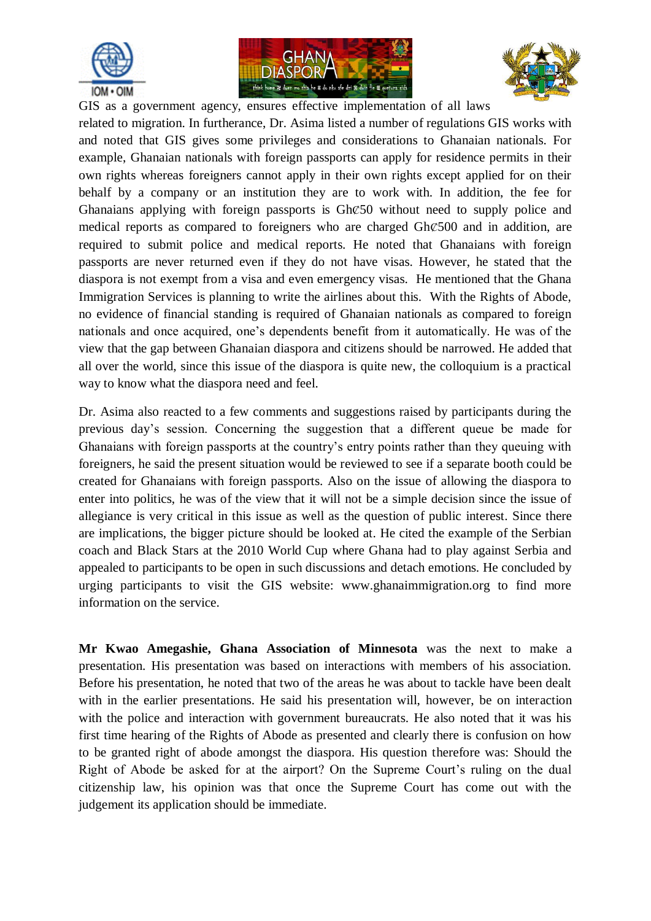





GIS as a government agency, ensures effective implementation of all laws related to migration. In furtherance, Dr. Asima listed a number of regulations GIS works with and noted that GIS gives some privileges and considerations to Ghanaian nationals. For example, Ghanaian nationals with foreign passports can apply for residence permits in their own rights whereas foreigners cannot apply in their own rights except applied for on their behalf by a company or an institution they are to work with. In addition, the fee for Ghanaians applying with foreign passports is GhȻ50 without need to supply police and medical reports as compared to foreigners who are charged GhȻ500 and in addition, are required to submit police and medical reports. He noted that Ghanaians with foreign passports are never returned even if they do not have visas. However, he stated that the diaspora is not exempt from a visa and even emergency visas. He mentioned that the Ghana Immigration Services is planning to write the airlines about this. With the Rights of Abode, no evidence of financial standing is required of Ghanaian nationals as compared to foreign nationals and once acquired, one's dependents benefit from it automatically. He was of the view that the gap between Ghanaian diaspora and citizens should be narrowed. He added that all over the world, since this issue of the diaspora is quite new, the colloquium is a practical way to know what the diaspora need and feel.

Dr. Asima also reacted to a few comments and suggestions raised by participants during the previous day's session. Concerning the suggestion that a different queue be made for Ghanaians with foreign passports at the country's entry points rather than they queuing with foreigners, he said the present situation would be reviewed to see if a separate booth could be created for Ghanaians with foreign passports. Also on the issue of allowing the diaspora to enter into politics, he was of the view that it will not be a simple decision since the issue of allegiance is very critical in this issue as well as the question of public interest. Since there are implications, the bigger picture should be looked at. He cited the example of the Serbian coach and Black Stars at the 2010 World Cup where Ghana had to play against Serbia and appealed to participants to be open in such discussions and detach emotions. He concluded by urging participants to visit the GIS website: www.ghanaimmigration.org to find more information on the service.

**Mr Kwao Amegashie, Ghana Association of Minnesota** was the next to make a presentation. His presentation was based on interactions with members of his association. Before his presentation, he noted that two of the areas he was about to tackle have been dealt with in the earlier presentations. He said his presentation will, however, be on interaction with the police and interaction with government bureaucrats. He also noted that it was his first time hearing of the Rights of Abode as presented and clearly there is confusion on how to be granted right of abode amongst the diaspora. His question therefore was: Should the Right of Abode be asked for at the airport? On the Supreme Court's ruling on the dual citizenship law, his opinion was that once the Supreme Court has come out with the judgement its application should be immediate.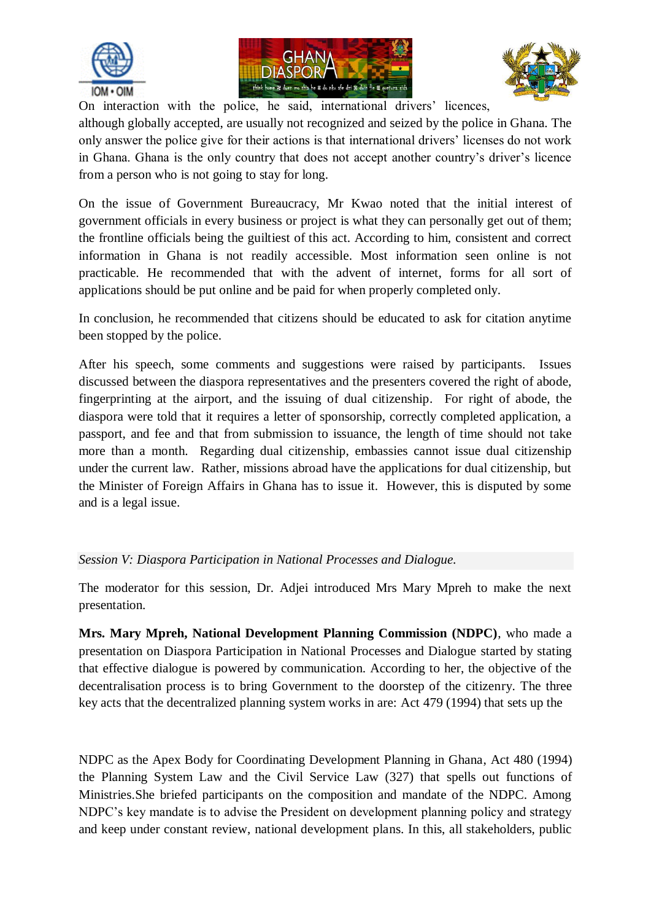





On interaction with the police, he said, international drivers' licences,

although globally accepted, are usually not recognized and seized by the police in Ghana. The only answer the police give for their actions is that international drivers' licenses do not work in Ghana. Ghana is the only country that does not accept another country's driver's licence from a person who is not going to stay for long.

On the issue of Government Bureaucracy, Mr Kwao noted that the initial interest of government officials in every business or project is what they can personally get out of them; the frontline officials being the guiltiest of this act. According to him, consistent and correct information in Ghana is not readily accessible. Most information seen online is not practicable. He recommended that with the advent of internet, forms for all sort of applications should be put online and be paid for when properly completed only.

In conclusion, he recommended that citizens should be educated to ask for citation anytime been stopped by the police.

After his speech, some comments and suggestions were raised by participants. Issues discussed between the diaspora representatives and the presenters covered the right of abode, fingerprinting at the airport, and the issuing of dual citizenship. For right of abode, the diaspora were told that it requires a letter of sponsorship, correctly completed application, a passport, and fee and that from submission to issuance, the length of time should not take more than a month. Regarding dual citizenship, embassies cannot issue dual citizenship under the current law. Rather, missions abroad have the applications for dual citizenship, but the Minister of Foreign Affairs in Ghana has to issue it. However, this is disputed by some and is a legal issue.

## *Session V: Diaspora Participation in National Processes and Dialogue.*

The moderator for this session, Dr. Adjei introduced Mrs Mary Mpreh to make the next presentation.

**Mrs. Mary Mpreh, National Development Planning Commission (NDPC)**, who made a presentation on Diaspora Participation in National Processes and Dialogue started by stating that effective dialogue is powered by communication. According to her, the objective of the decentralisation process is to bring Government to the doorstep of the citizenry. The three key acts that the decentralized planning system works in are: Act 479 (1994) that sets up the

NDPC as the Apex Body for Coordinating Development Planning in Ghana, Act 480 (1994) the Planning System Law and the Civil Service Law (327) that spells out functions of Ministries.She briefed participants on the composition and mandate of the NDPC. Among NDPC's key mandate is to advise the President on development planning policy and strategy and keep under constant review, national development plans. In this, all stakeholders, public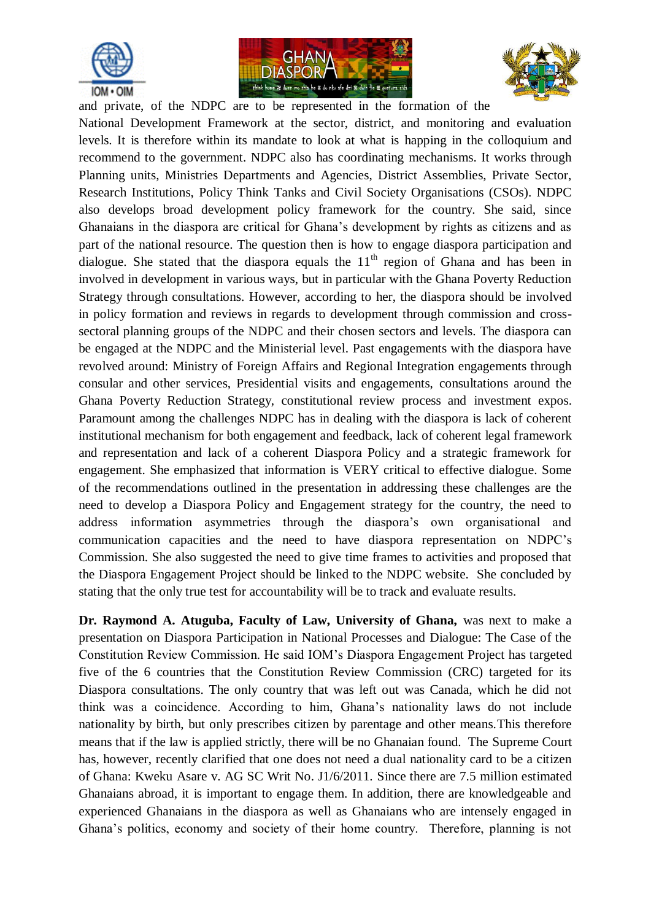





and private, of the NDPC are to be represented in the formation of the National Development Framework at the sector, district, and monitoring and evaluation levels. It is therefore within its mandate to look at what is happing in the colloquium and recommend to the government. NDPC also has coordinating mechanisms. It works through Planning units, Ministries Departments and Agencies, District Assemblies, Private Sector, Research Institutions, Policy Think Tanks and Civil Society Organisations (CSOs). NDPC also develops broad development policy framework for the country. She said, since Ghanaians in the diaspora are critical for Ghana's development by rights as citizens and as part of the national resource. The question then is how to engage diaspora participation and dialogue. She stated that the diaspora equals the  $11<sup>th</sup>$  region of Ghana and has been in involved in development in various ways, but in particular with the Ghana Poverty Reduction Strategy through consultations. However, according to her, the diaspora should be involved in policy formation and reviews in regards to development through commission and crosssectoral planning groups of the NDPC and their chosen sectors and levels. The diaspora can be engaged at the NDPC and the Ministerial level. Past engagements with the diaspora have revolved around: Ministry of Foreign Affairs and Regional Integration engagements through consular and other services, Presidential visits and engagements, consultations around the Ghana Poverty Reduction Strategy, constitutional review process and investment expos. Paramount among the challenges NDPC has in dealing with the diaspora is lack of coherent institutional mechanism for both engagement and feedback, lack of coherent legal framework and representation and lack of a coherent Diaspora Policy and a strategic framework for engagement. She emphasized that information is VERY critical to effective dialogue. Some of the recommendations outlined in the presentation in addressing these challenges are the need to develop a Diaspora Policy and Engagement strategy for the country, the need to address information asymmetries through the diaspora's own organisational and communication capacities and the need to have diaspora representation on NDPC's Commission. She also suggested the need to give time frames to activities and proposed that the Diaspora Engagement Project should be linked to the NDPC website. She concluded by stating that the only true test for accountability will be to track and evaluate results.

**Dr. Raymond A. Atuguba, Faculty of Law, University of Ghana,** was next to make a presentation on Diaspora Participation in National Processes and Dialogue: The Case of the Constitution Review Commission. He said IOM's Diaspora Engagement Project has targeted five of the 6 countries that the Constitution Review Commission (CRC) targeted for its Diaspora consultations. The only country that was left out was Canada, which he did not think was a coincidence. According to him, Ghana's nationality laws do not include nationality by birth, but only prescribes citizen by parentage and other means.This therefore means that if the law is applied strictly, there will be no Ghanaian found. The Supreme Court has, however, recently clarified that one does not need a dual nationality card to be a citizen of Ghana: Kweku Asare v. AG SC Writ No. J1/6/2011. Since there are 7.5 million estimated Ghanaians abroad, it is important to engage them. In addition, there are knowledgeable and experienced Ghanaians in the diaspora as well as Ghanaians who are intensely engaged in Ghana's politics, economy and society of their home country. Therefore, planning is not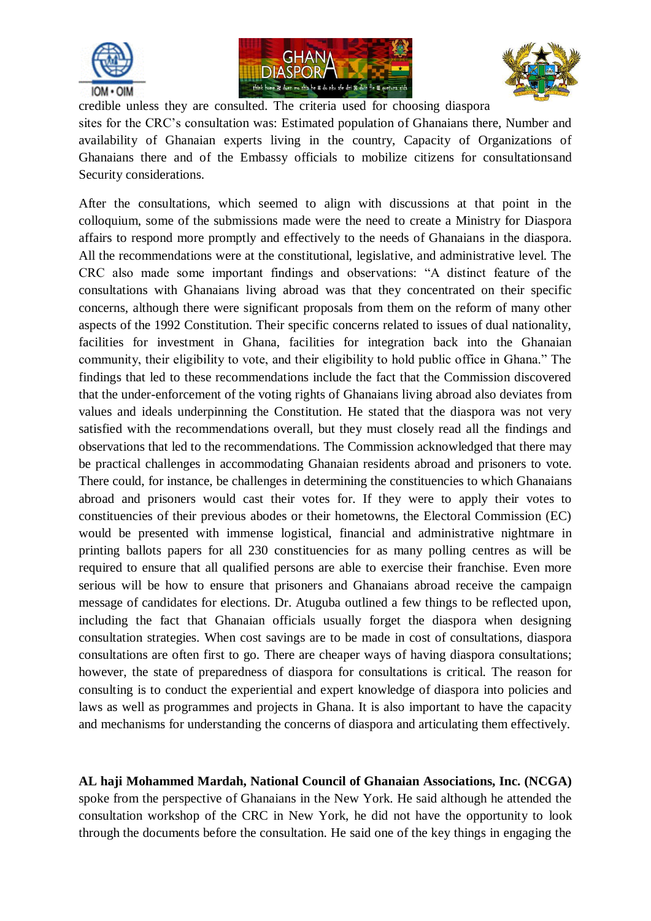





credible unless they are consulted. The criteria used for choosing diaspora sites for the CRC's consultation was: Estimated population of Ghanaians there, Number and availability of Ghanaian experts living in the country, Capacity of Organizations of Ghanaians there and of the Embassy officials to mobilize citizens for consultationsand Security considerations.

After the consultations, which seemed to align with discussions at that point in the colloquium, some of the submissions made were the need to create a Ministry for Diaspora affairs to respond more promptly and effectively to the needs of Ghanaians in the diaspora. All the recommendations were at the constitutional, legislative, and administrative level. The CRC also made some important findings and observations: "A distinct feature of the consultations with Ghanaians living abroad was that they concentrated on their specific concerns, although there were significant proposals from them on the reform of many other aspects of the 1992 Constitution. Their specific concerns related to issues of dual nationality, facilities for investment in Ghana, facilities for integration back into the Ghanaian community, their eligibility to vote, and their eligibility to hold public office in Ghana." The findings that led to these recommendations include the fact that the Commission discovered that the under-enforcement of the voting rights of Ghanaians living abroad also deviates from values and ideals underpinning the Constitution. He stated that the diaspora was not very satisfied with the recommendations overall, but they must closely read all the findings and observations that led to the recommendations. The Commission acknowledged that there may be practical challenges in accommodating Ghanaian residents abroad and prisoners to vote. There could, for instance, be challenges in determining the constituencies to which Ghanaians abroad and prisoners would cast their votes for. If they were to apply their votes to constituencies of their previous abodes or their hometowns, the Electoral Commission (EC) would be presented with immense logistical, financial and administrative nightmare in printing ballots papers for all 230 constituencies for as many polling centres as will be required to ensure that all qualified persons are able to exercise their franchise. Even more serious will be how to ensure that prisoners and Ghanaians abroad receive the campaign message of candidates for elections. Dr. Atuguba outlined a few things to be reflected upon, including the fact that Ghanaian officials usually forget the diaspora when designing consultation strategies. When cost savings are to be made in cost of consultations, diaspora consultations are often first to go. There are cheaper ways of having diaspora consultations; however, the state of preparedness of diaspora for consultations is critical. The reason for consulting is to conduct the experiential and expert knowledge of diaspora into policies and laws as well as programmes and projects in Ghana. It is also important to have the capacity and mechanisms for understanding the concerns of diaspora and articulating them effectively.

**AL haji Mohammed Mardah, National Council of Ghanaian Associations, Inc. (NCGA)**  spoke from the perspective of Ghanaians in the New York. He said although he attended the consultation workshop of the CRC in New York, he did not have the opportunity to look through the documents before the consultation. He said one of the key things in engaging the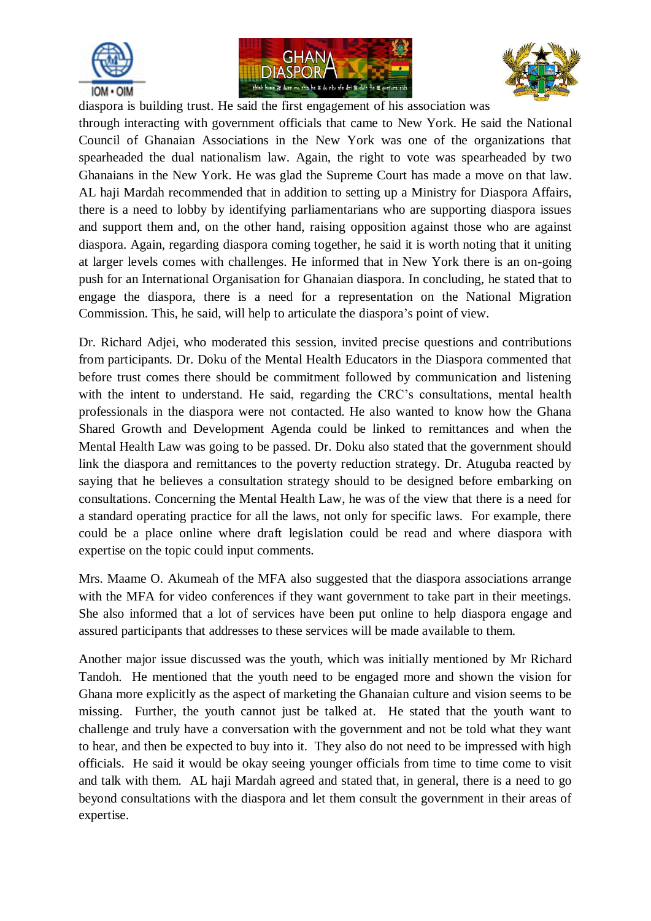





diaspora is building trust. He said the first engagement of his association was through interacting with government officials that came to New York. He said the National Council of Ghanaian Associations in the New York was one of the organizations that spearheaded the dual nationalism law. Again, the right to vote was spearheaded by two Ghanaians in the New York. He was glad the Supreme Court has made a move on that law. AL haji Mardah recommended that in addition to setting up a Ministry for Diaspora Affairs, there is a need to lobby by identifying parliamentarians who are supporting diaspora issues and support them and, on the other hand, raising opposition against those who are against diaspora. Again, regarding diaspora coming together, he said it is worth noting that it uniting at larger levels comes with challenges. He informed that in New York there is an on-going push for an International Organisation for Ghanaian diaspora. In concluding, he stated that to engage the diaspora, there is a need for a representation on the National Migration Commission. This, he said, will help to articulate the diaspora's point of view.

Dr. Richard Adjei, who moderated this session, invited precise questions and contributions from participants. Dr. Doku of the Mental Health Educators in the Diaspora commented that before trust comes there should be commitment followed by communication and listening with the intent to understand. He said, regarding the CRC's consultations, mental health professionals in the diaspora were not contacted. He also wanted to know how the Ghana Shared Growth and Development Agenda could be linked to remittances and when the Mental Health Law was going to be passed. Dr. Doku also stated that the government should link the diaspora and remittances to the poverty reduction strategy. Dr. Atuguba reacted by saying that he believes a consultation strategy should to be designed before embarking on consultations. Concerning the Mental Health Law, he was of the view that there is a need for a standard operating practice for all the laws, not only for specific laws. For example, there could be a place online where draft legislation could be read and where diaspora with expertise on the topic could input comments.

Mrs. Maame O. Akumeah of the MFA also suggested that the diaspora associations arrange with the MFA for video conferences if they want government to take part in their meetings. She also informed that a lot of services have been put online to help diaspora engage and assured participants that addresses to these services will be made available to them.

Another major issue discussed was the youth, which was initially mentioned by Mr Richard Tandoh. He mentioned that the youth need to be engaged more and shown the vision for Ghana more explicitly as the aspect of marketing the Ghanaian culture and vision seems to be missing. Further, the youth cannot just be talked at. He stated that the youth want to challenge and truly have a conversation with the government and not be told what they want to hear, and then be expected to buy into it. They also do not need to be impressed with high officials. He said it would be okay seeing younger officials from time to time come to visit and talk with them. AL haji Mardah agreed and stated that, in general, there is a need to go beyond consultations with the diaspora and let them consult the government in their areas of expertise.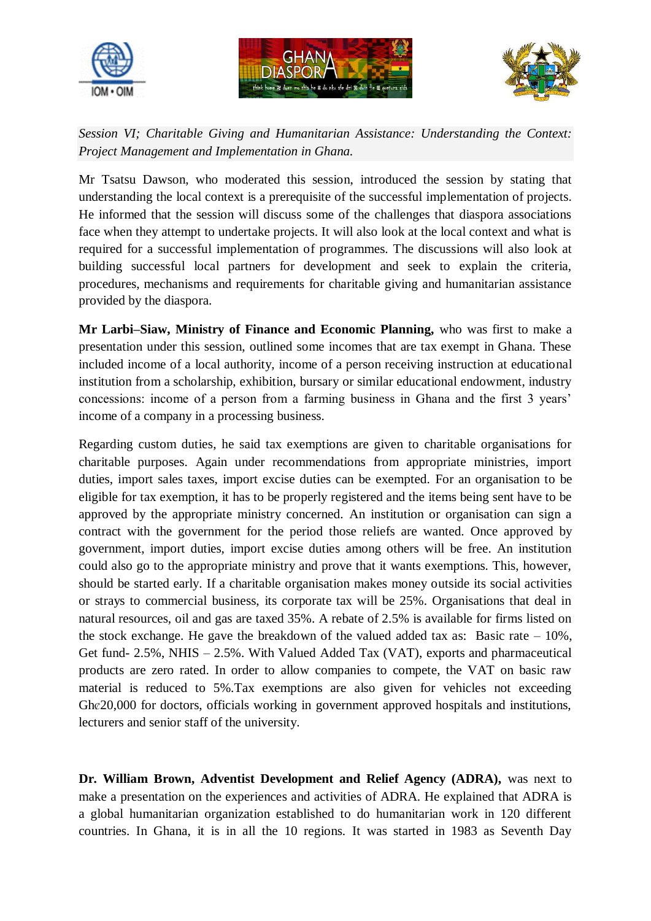





*Session VI; Charitable Giving and Humanitarian Assistance: Understanding the Context: Project Management and Implementation in Ghana.*

Mr Tsatsu Dawson, who moderated this session, introduced the session by stating that understanding the local context is a prerequisite of the successful implementation of projects. He informed that the session will discuss some of the challenges that diaspora associations face when they attempt to undertake projects. It will also look at the local context and what is required for a successful implementation of programmes. The discussions will also look at building successful local partners for development and seek to explain the criteria, procedures, mechanisms and requirements for charitable giving and humanitarian assistance provided by the diaspora.

**Mr Larbi–Siaw, Ministry of Finance and Economic Planning,** who was first to make a presentation under this session, outlined some incomes that are tax exempt in Ghana. These included income of a local authority, income of a person receiving instruction at educational institution from a scholarship, exhibition, bursary or similar educational endowment, industry concessions: income of a person from a farming business in Ghana and the first 3 years' income of a company in a processing business.

Regarding custom duties, he said tax exemptions are given to charitable organisations for charitable purposes. Again under recommendations from appropriate ministries, import duties, import sales taxes, import excise duties can be exempted. For an organisation to be eligible for tax exemption, it has to be properly registered and the items being sent have to be approved by the appropriate ministry concerned. An institution or organisation can sign a contract with the government for the period those reliefs are wanted. Once approved by government, import duties, import excise duties among others will be free. An institution could also go to the appropriate ministry and prove that it wants exemptions. This, however, should be started early. If a charitable organisation makes money outside its social activities or strays to commercial business, its corporate tax will be 25%. Organisations that deal in natural resources, oil and gas are taxed 35%. A rebate of 2.5% is available for firms listed on the stock exchange. He gave the breakdown of the valued added tax as: Basic rate  $-10\%$ , Get fund- 2.5%, NHIS – 2.5%. With Valued Added Tax (VAT), exports and pharmaceutical products are zero rated. In order to allow companies to compete, the VAT on basic raw material is reduced to 5%.Tax exemptions are also given for vehicles not exceeding Ghc $20,000$  for doctors, officials working in government approved hospitals and institutions, lecturers and senior staff of the university.

**Dr. William Brown, Adventist Development and Relief Agency (ADRA),** was next to make a presentation on the experiences and activities of ADRA. He explained that ADRA is a global humanitarian organization established to do humanitarian work in 120 different countries. In Ghana, it is in all the 10 regions. It was started in 1983 as Seventh Day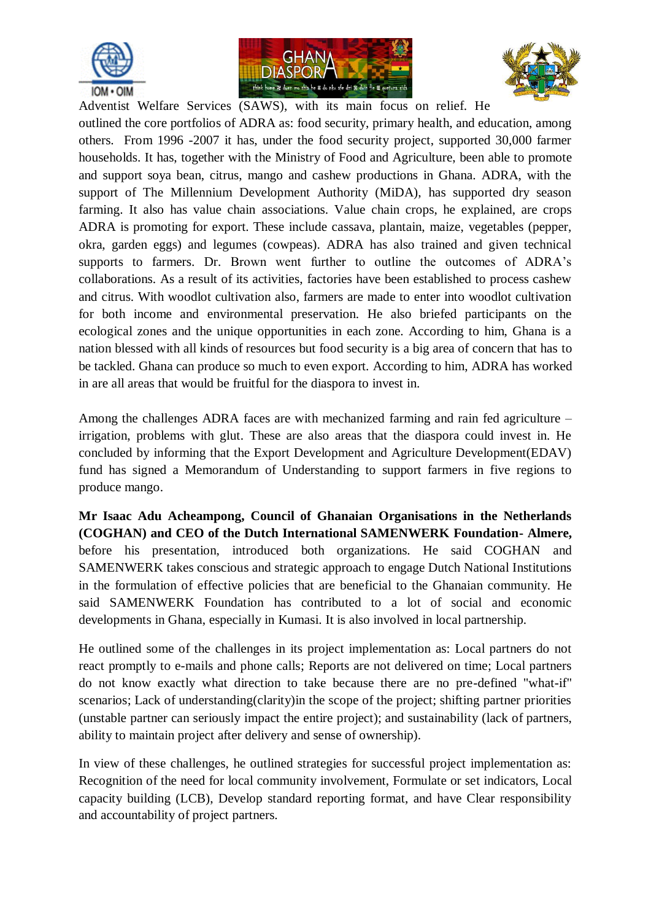





Adventist Welfare Services (SAWS), with its main focus on relief. He outlined the core portfolios of ADRA as: food security, primary health, and education, among others. From 1996 -2007 it has, under the food security project, supported 30,000 farmer households. It has, together with the Ministry of Food and Agriculture, been able to promote and support soya bean, citrus, mango and cashew productions in Ghana. ADRA, with the support of The Millennium Development Authority (MiDA), has supported dry season farming. It also has value chain associations. Value chain crops, he explained, are crops ADRA is promoting for export. These include cassava, plantain, maize, vegetables (pepper, okra, garden eggs) and legumes (cowpeas). ADRA has also trained and given technical supports to farmers. Dr. Brown went further to outline the outcomes of ADRA's collaborations. As a result of its activities, factories have been established to process cashew and citrus. With woodlot cultivation also, farmers are made to enter into woodlot cultivation for both income and environmental preservation. He also briefed participants on the ecological zones and the unique opportunities in each zone. According to him, Ghana is a nation blessed with all kinds of resources but food security is a big area of concern that has to be tackled. Ghana can produce so much to even export. According to him, ADRA has worked in are all areas that would be fruitful for the diaspora to invest in.

Among the challenges ADRA faces are with mechanized farming and rain fed agriculture – irrigation, problems with glut. These are also areas that the diaspora could invest in. He concluded by informing that the Export Development and Agriculture Development(EDAV) fund has signed a Memorandum of Understanding to support farmers in five regions to produce mango.

**Mr Isaac Adu Acheampong, Council of Ghanaian Organisations in the Netherlands (COGHAN) and CEO of the Dutch International SAMENWERK Foundation- Almere,**  before his presentation, introduced both organizations. He said COGHAN and SAMENWERK takes conscious and strategic approach to engage Dutch National Institutions in the formulation of effective policies that are beneficial to the Ghanaian community. He said SAMENWERK Foundation has contributed to a lot of social and economic developments in Ghana, especially in Kumasi. It is also involved in local partnership.

He outlined some of the challenges in its project implementation as: Local partners do not react promptly to e-mails and phone calls; Reports are not delivered on time; Local partners do not know exactly what direction to take because there are no pre-defined "what-if" scenarios; Lack of understanding(clarity)in the scope of the project; shifting partner priorities (unstable partner can seriously impact the entire project); and sustainability (lack of partners, ability to maintain project after delivery and sense of ownership).

In view of these challenges, he outlined strategies for successful project implementation as: Recognition of the need for local community involvement, Formulate or set indicators, Local capacity building (LCB), Develop standard reporting format, and have Clear responsibility and accountability of project partners.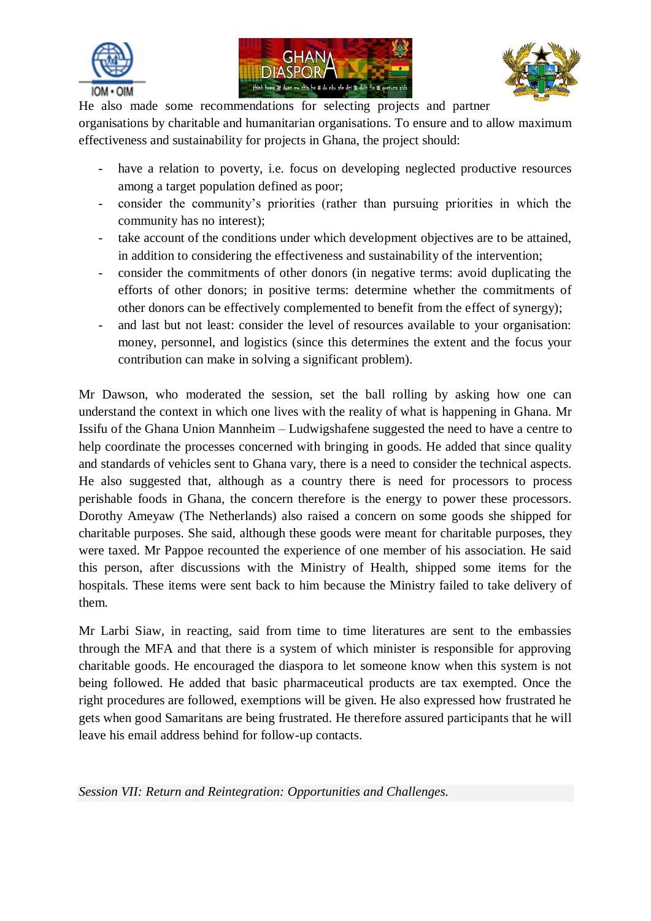





He also made some recommendations for selecting projects and partner

organisations by charitable and humanitarian organisations. To ensure and to allow maximum effectiveness and sustainability for projects in Ghana, the project should:

- have a relation to poverty, i.e. focus on developing neglected productive resources among a target population defined as poor;
- consider the community's priorities (rather than pursuing priorities in which the community has no interest);
- take account of the conditions under which development objectives are to be attained, in addition to considering the effectiveness and sustainability of the intervention;
- consider the commitments of other donors (in negative terms: avoid duplicating the efforts of other donors; in positive terms: determine whether the commitments of other donors can be effectively complemented to benefit from the effect of synergy);
- and last but not least: consider the level of resources available to your organisation: money, personnel, and logistics (since this determines the extent and the focus your contribution can make in solving a significant problem).

Mr Dawson, who moderated the session, set the ball rolling by asking how one can understand the context in which one lives with the reality of what is happening in Ghana. Mr Issifu of the Ghana Union Mannheim – Ludwigshafene suggested the need to have a centre to help coordinate the processes concerned with bringing in goods. He added that since quality and standards of vehicles sent to Ghana vary, there is a need to consider the technical aspects. He also suggested that, although as a country there is need for processors to process perishable foods in Ghana, the concern therefore is the energy to power these processors. Dorothy Ameyaw (The Netherlands) also raised a concern on some goods she shipped for charitable purposes. She said, although these goods were meant for charitable purposes, they were taxed. Mr Pappoe recounted the experience of one member of his association. He said this person, after discussions with the Ministry of Health, shipped some items for the hospitals. These items were sent back to him because the Ministry failed to take delivery of them.

Mr Larbi Siaw, in reacting, said from time to time literatures are sent to the embassies through the MFA and that there is a system of which minister is responsible for approving charitable goods. He encouraged the diaspora to let someone know when this system is not being followed. He added that basic pharmaceutical products are tax exempted. Once the right procedures are followed, exemptions will be given. He also expressed how frustrated he gets when good Samaritans are being frustrated. He therefore assured participants that he will leave his email address behind for follow-up contacts.

*Session VII: Return and Reintegration: Opportunities and Challenges.*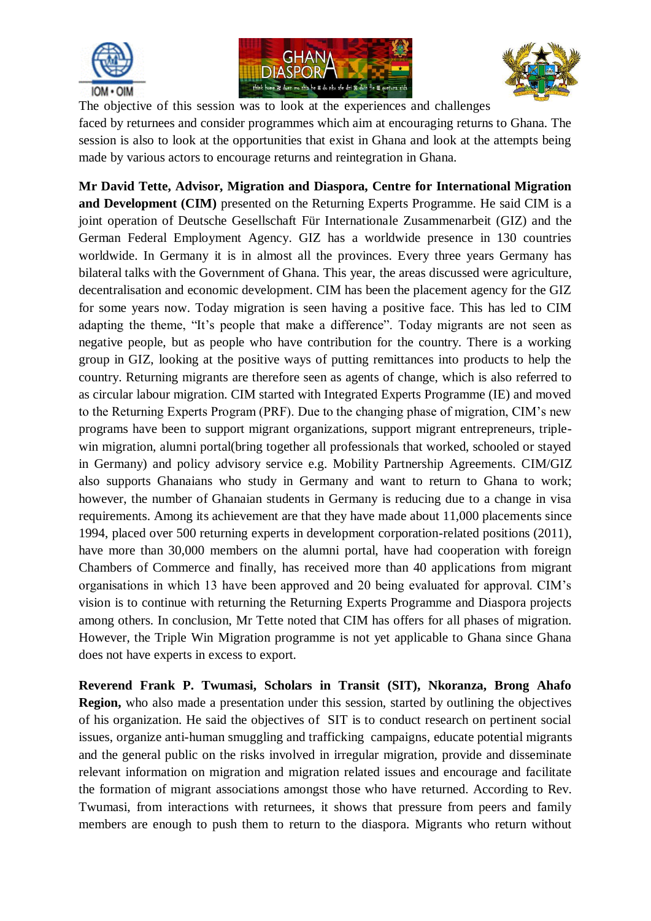





The objective of this session was to look at the experiences and challenges faced by returnees and consider programmes which aim at encouraging returns to Ghana. The session is also to look at the opportunities that exist in Ghana and look at the attempts being made by various actors to encourage returns and reintegration in Ghana.

**Mr David Tette, Advisor, Migration and Diaspora, Centre for International Migration and Development (CIM)** presented on the Returning Experts Programme. He said CIM is a joint operation of Deutsche Gesellschaft Für Internationale Zusammenarbeit (GIZ) and the German Federal Employment Agency. GIZ has a worldwide presence in 130 countries worldwide. In Germany it is in almost all the provinces. Every three years Germany has bilateral talks with the Government of Ghana. This year, the areas discussed were agriculture, decentralisation and economic development. CIM has been the placement agency for the GIZ for some years now. Today migration is seen having a positive face. This has led to CIM adapting the theme, "It's people that make a difference". Today migrants are not seen as negative people, but as people who have contribution for the country. There is a working group in GIZ, looking at the positive ways of putting remittances into products to help the country. Returning migrants are therefore seen as agents of change, which is also referred to as circular labour migration. CIM started with Integrated Experts Programme (IE) and moved to the Returning Experts Program (PRF). Due to the changing phase of migration, CIM's new programs have been to support migrant organizations, support migrant entrepreneurs, triplewin migration, alumni portal(bring together all professionals that worked, schooled or stayed in Germany) and policy advisory service e.g. Mobility Partnership Agreements. CIM/GIZ also supports Ghanaians who study in Germany and want to return to Ghana to work; however, the number of Ghanaian students in Germany is reducing due to a change in visa requirements. Among its achievement are that they have made about 11,000 placements since 1994, placed over 500 returning experts in development corporation-related positions (2011), have more than 30,000 members on the alumni portal, have had cooperation with foreign Chambers of Commerce and finally, has received more than 40 applications from migrant organisations in which 13 have been approved and 20 being evaluated for approval. CIM's vision is to continue with returning the Returning Experts Programme and Diaspora projects among others. In conclusion, Mr Tette noted that CIM has offers for all phases of migration. However, the Triple Win Migration programme is not yet applicable to Ghana since Ghana does not have experts in excess to export.

**Reverend Frank P. Twumasi, Scholars in Transit (SIT), Nkoranza, Brong Ahafo Region,** who also made a presentation under this session, started by outlining the objectives of his organization. He said the objectives of SIT is to conduct research on pertinent social issues, organize anti-human smuggling and trafficking campaigns, educate potential migrants and the general public on the risks involved in irregular migration, provide and disseminate relevant information on migration and migration related issues and encourage and facilitate the formation of migrant associations amongst those who have returned. According to Rev. Twumasi, from interactions with returnees, it shows that pressure from peers and family members are enough to push them to return to the diaspora. Migrants who return without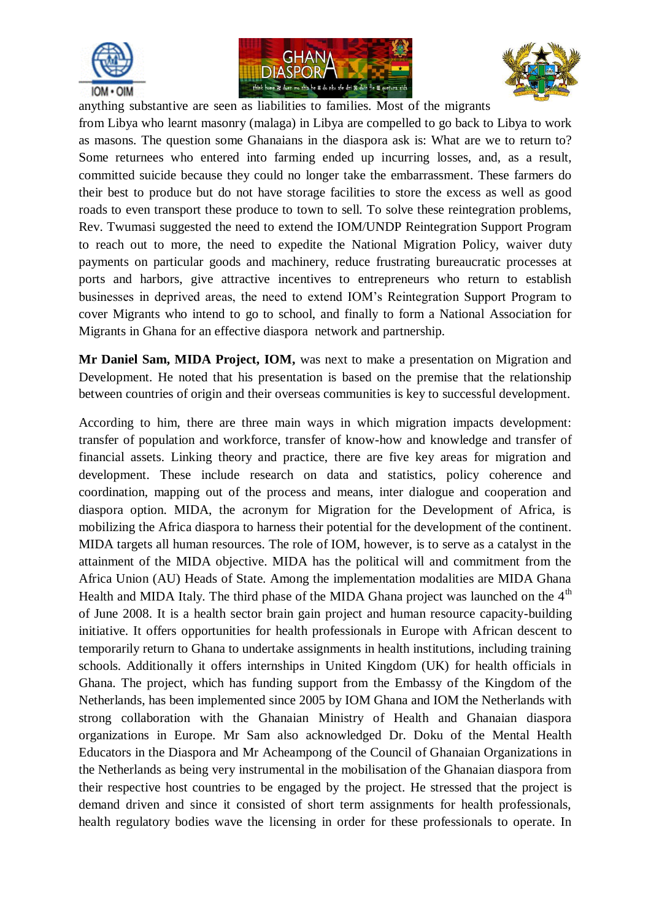





anything substantive are seen as liabilities to families. Most of the migrants from Libya who learnt masonry (malaga) in Libya are compelled to go back to Libya to work as masons. The question some Ghanaians in the diaspora ask is: What are we to return to? Some returnees who entered into farming ended up incurring losses, and, as a result, committed suicide because they could no longer take the embarrassment. These farmers do their best to produce but do not have storage facilities to store the excess as well as good roads to even transport these produce to town to sell. To solve these reintegration problems, Rev. Twumasi suggested the need to extend the IOM/UNDP Reintegration Support Program to reach out to more, the need to expedite the National Migration Policy, waiver duty payments on particular goods and machinery, reduce frustrating bureaucratic processes at ports and harbors, give attractive incentives to entrepreneurs who return to establish businesses in deprived areas, the need to extend IOM's Reintegration Support Program to cover Migrants who intend to go to school, and finally to form a National Association for Migrants in Ghana for an effective diaspora network and partnership.

**Mr Daniel Sam, MIDA Project, IOM,** was next to make a presentation on Migration and Development. He noted that his presentation is based on the premise that the relationship between countries of origin and their overseas communities is key to successful development.

According to him, there are three main ways in which migration impacts development: transfer of population and workforce, transfer of know-how and knowledge and transfer of financial assets. Linking theory and practice, there are five key areas for migration and development. These include research on data and statistics, policy coherence and coordination, mapping out of the process and means, inter dialogue and cooperation and diaspora option. MIDA, the acronym for Migration for the Development of Africa, is mobilizing the Africa diaspora to harness their potential for the development of the continent. MIDA targets all human resources. The role of IOM, however, is to serve as a catalyst in the attainment of the MIDA objective. MIDA has the political will and commitment from the Africa Union (AU) Heads of State. Among the implementation modalities are MIDA Ghana Health and MIDA Italy. The third phase of the MIDA Ghana project was launched on the  $4<sup>th</sup>$ of June 2008. It is a health sector brain gain project and human resource capacity-building initiative. It offers opportunities for health professionals in Europe with African descent to temporarily return to Ghana to undertake assignments in health institutions, including training schools. Additionally it offers internships in United Kingdom (UK) for health officials in Ghana. The project, which has funding support from the Embassy of the Kingdom of the Netherlands, has been implemented since 2005 by IOM Ghana and IOM the Netherlands with strong collaboration with the Ghanaian Ministry of Health and Ghanaian diaspora organizations in Europe. Mr Sam also acknowledged Dr. Doku of the Mental Health Educators in the Diaspora and Mr Acheampong of the Council of Ghanaian Organizations in the Netherlands as being very instrumental in the mobilisation of the Ghanaian diaspora from their respective host countries to be engaged by the project. He stressed that the project is demand driven and since it consisted of short term assignments for health professionals, health regulatory bodies wave the licensing in order for these professionals to operate. In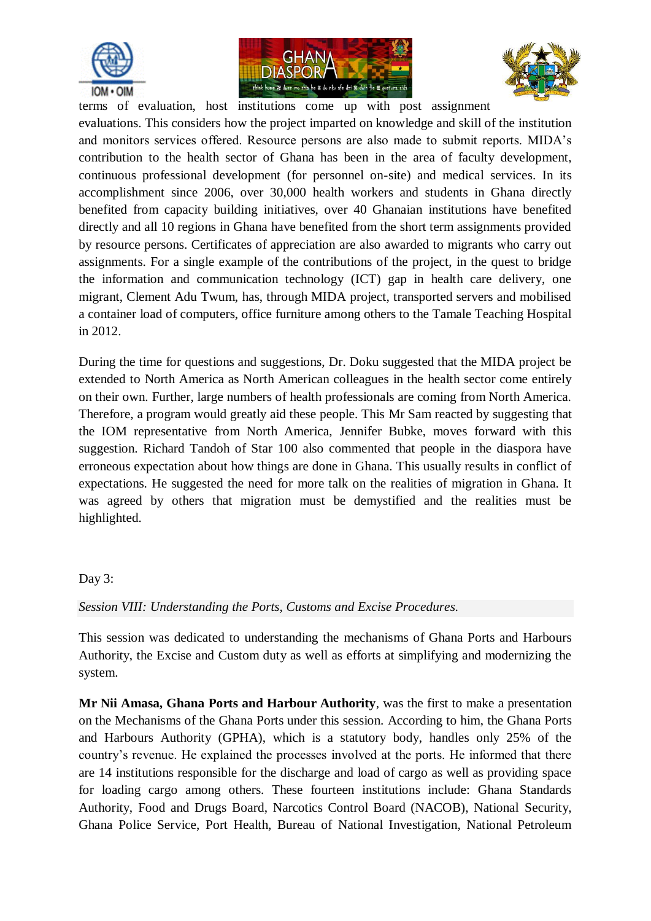





terms of evaluation, host institutions come up with post assignment evaluations. This considers how the project imparted on knowledge and skill of the institution and monitors services offered. Resource persons are also made to submit reports. MIDA's contribution to the health sector of Ghana has been in the area of faculty development, continuous professional development (for personnel on-site) and medical services. In its accomplishment since 2006, over 30,000 health workers and students in Ghana directly benefited from capacity building initiatives, over 40 Ghanaian institutions have benefited directly and all 10 regions in Ghana have benefited from the short term assignments provided by resource persons. Certificates of appreciation are also awarded to migrants who carry out assignments. For a single example of the contributions of the project, in the quest to bridge the information and communication technology (ICT) gap in health care delivery, one migrant, Clement Adu Twum, has, through MIDA project, transported servers and mobilised a container load of computers, office furniture among others to the Tamale Teaching Hospital in 2012.

During the time for questions and suggestions, Dr. Doku suggested that the MIDA project be extended to North America as North American colleagues in the health sector come entirely on their own. Further, large numbers of health professionals are coming from North America. Therefore, a program would greatly aid these people. This Mr Sam reacted by suggesting that the IOM representative from North America, Jennifer Bubke, moves forward with this suggestion. Richard Tandoh of Star 100 also commented that people in the diaspora have erroneous expectation about how things are done in Ghana. This usually results in conflict of expectations. He suggested the need for more talk on the realities of migration in Ghana. It was agreed by others that migration must be demystified and the realities must be highlighted.

## Day 3:

*Session VIII: Understanding the Ports, Customs and Excise Procedures.*

This session was dedicated to understanding the mechanisms of Ghana Ports and Harbours Authority, the Excise and Custom duty as well as efforts at simplifying and modernizing the system.

**Mr Nii Amasa, Ghana Ports and Harbour Authority**, was the first to make a presentation on the Mechanisms of the Ghana Ports under this session. According to him, the Ghana Ports and Harbours Authority (GPHA), which is a statutory body, handles only 25% of the country's revenue. He explained the processes involved at the ports. He informed that there are 14 institutions responsible for the discharge and load of cargo as well as providing space for loading cargo among others. These fourteen institutions include: Ghana Standards Authority, Food and Drugs Board, Narcotics Control Board (NACOB), National Security, Ghana Police Service, Port Health, Bureau of National Investigation, National Petroleum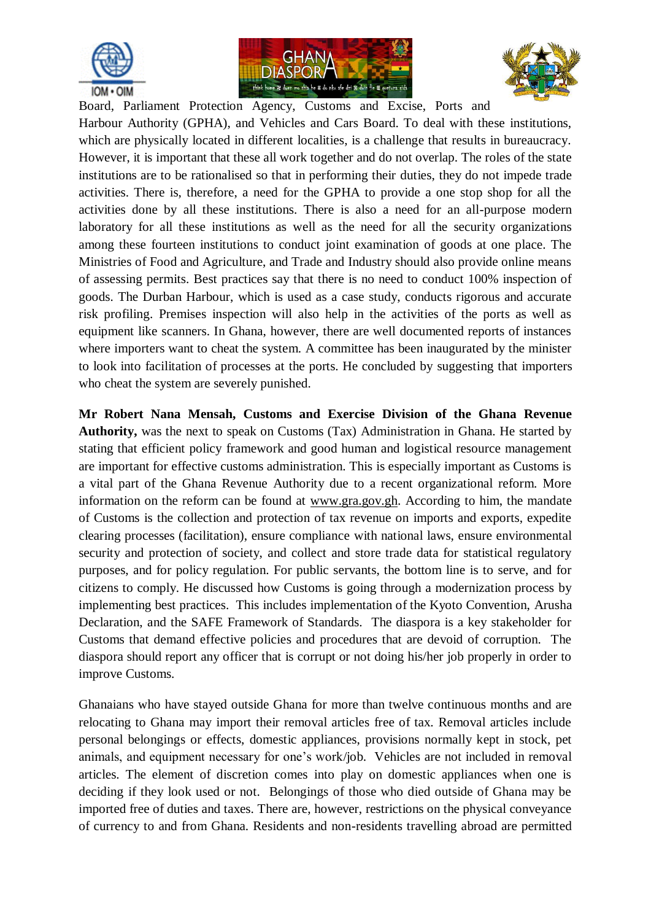





Board, Parliament Protection Agency, Customs and Excise, Ports and Harbour Authority (GPHA), and Vehicles and Cars Board. To deal with these institutions, which are physically located in different localities, is a challenge that results in bureaucracy. However, it is important that these all work together and do not overlap. The roles of the state institutions are to be rationalised so that in performing their duties, they do not impede trade activities. There is, therefore, a need for the GPHA to provide a one stop shop for all the activities done by all these institutions. There is also a need for an all-purpose modern laboratory for all these institutions as well as the need for all the security organizations among these fourteen institutions to conduct joint examination of goods at one place. The Ministries of Food and Agriculture, and Trade and Industry should also provide online means of assessing permits. Best practices say that there is no need to conduct 100% inspection of goods. The Durban Harbour, which is used as a case study, conducts rigorous and accurate risk profiling. Premises inspection will also help in the activities of the ports as well as equipment like scanners. In Ghana, however, there are well documented reports of instances where importers want to cheat the system. A committee has been inaugurated by the minister to look into facilitation of processes at the ports. He concluded by suggesting that importers who cheat the system are severely punished.

**Mr Robert Nana Mensah, Customs and Exercise Division of the Ghana Revenue Authority,** was the next to speak on Customs (Tax) Administration in Ghana. He started by stating that efficient policy framework and good human and logistical resource management are important for effective customs administration. This is especially important as Customs is a vital part of the Ghana Revenue Authority due to a recent organizational reform. More information on the reform can be found at [www.gra.gov.gh.](http://www.gra.gov.gh/) According to him, the mandate of Customs is the collection and protection of tax revenue on imports and exports, expedite clearing processes (facilitation), ensure compliance with national laws, ensure environmental security and protection of society, and collect and store trade data for statistical regulatory purposes, and for policy regulation. For public servants, the bottom line is to serve, and for citizens to comply. He discussed how Customs is going through a modernization process by implementing best practices. This includes implementation of the Kyoto Convention, Arusha Declaration, and the SAFE Framework of Standards. The diaspora is a key stakeholder for Customs that demand effective policies and procedures that are devoid of corruption. The diaspora should report any officer that is corrupt or not doing his/her job properly in order to improve Customs.

Ghanaians who have stayed outside Ghana for more than twelve continuous months and are relocating to Ghana may import their removal articles free of tax. Removal articles include personal belongings or effects, domestic appliances, provisions normally kept in stock, pet animals, and equipment necessary for one's work/job. Vehicles are not included in removal articles. The element of discretion comes into play on domestic appliances when one is deciding if they look used or not. Belongings of those who died outside of Ghana may be imported free of duties and taxes. There are, however, restrictions on the physical conveyance of currency to and from Ghana. Residents and non-residents travelling abroad are permitted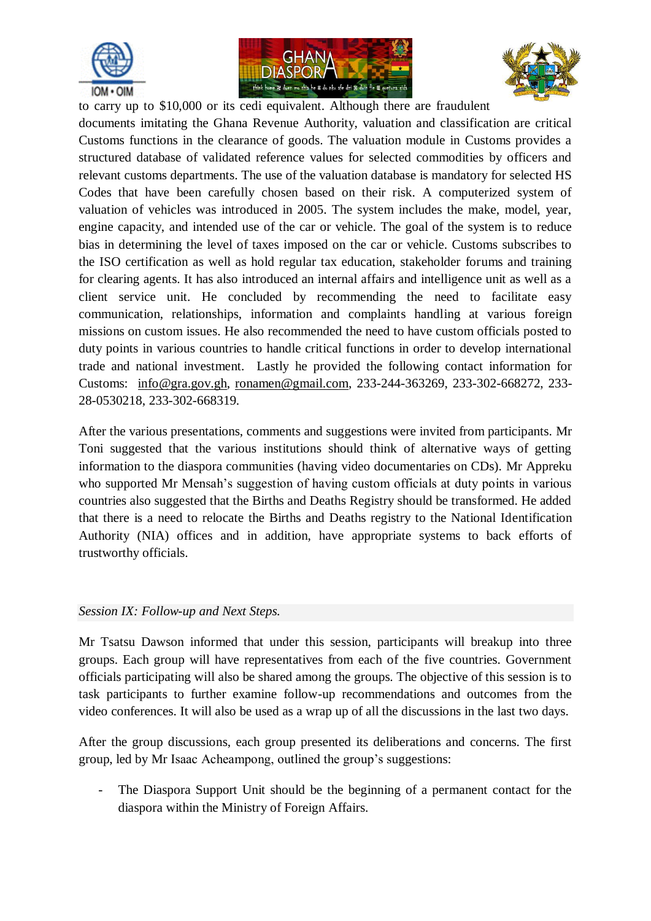





to carry up to \$10,000 or its cedi equivalent. Although there are fraudulent documents imitating the Ghana Revenue Authority, valuation and classification are critical Customs functions in the clearance of goods. The valuation module in Customs provides a structured database of validated reference values for selected commodities by officers and relevant customs departments. The use of the valuation database is mandatory for selected HS Codes that have been carefully chosen based on their risk. A computerized system of valuation of vehicles was introduced in 2005. The system includes the make, model, year, engine capacity, and intended use of the car or vehicle. The goal of the system is to reduce bias in determining the level of taxes imposed on the car or vehicle. Customs subscribes to the ISO certification as well as hold regular tax education, stakeholder forums and training for clearing agents. It has also introduced an internal affairs and intelligence unit as well as a client service unit. He concluded by recommending the need to facilitate easy communication, relationships, information and complaints handling at various foreign missions on custom issues. He also recommended the need to have custom officials posted to duty points in various countries to handle critical functions in order to develop international trade and national investment. Lastly he provided the following contact information for Customs: [info@gra.gov.gh,](mailto:info@gra.gov.gh) [ronamen@gmail.com,](mailto:ronamen@gmail.com) 233-244-363269, 233-302-668272, 233- 28-0530218, 233-302-668319.

After the various presentations, comments and suggestions were invited from participants. Mr Toni suggested that the various institutions should think of alternative ways of getting information to the diaspora communities (having video documentaries on CDs). Mr Appreku who supported Mr Mensah's suggestion of having custom officials at duty points in various countries also suggested that the Births and Deaths Registry should be transformed. He added that there is a need to relocate the Births and Deaths registry to the National Identification Authority (NIA) offices and in addition, have appropriate systems to back efforts of trustworthy officials.

## *Session IX: Follow-up and Next Steps.*

Mr Tsatsu Dawson informed that under this session, participants will breakup into three groups. Each group will have representatives from each of the five countries. Government officials participating will also be shared among the groups. The objective of this session is to task participants to further examine follow-up recommendations and outcomes from the video conferences. It will also be used as a wrap up of all the discussions in the last two days.

After the group discussions, each group presented its deliberations and concerns. The first group, led by Mr Isaac Acheampong, outlined the group's suggestions:

The Diaspora Support Unit should be the beginning of a permanent contact for the diaspora within the Ministry of Foreign Affairs.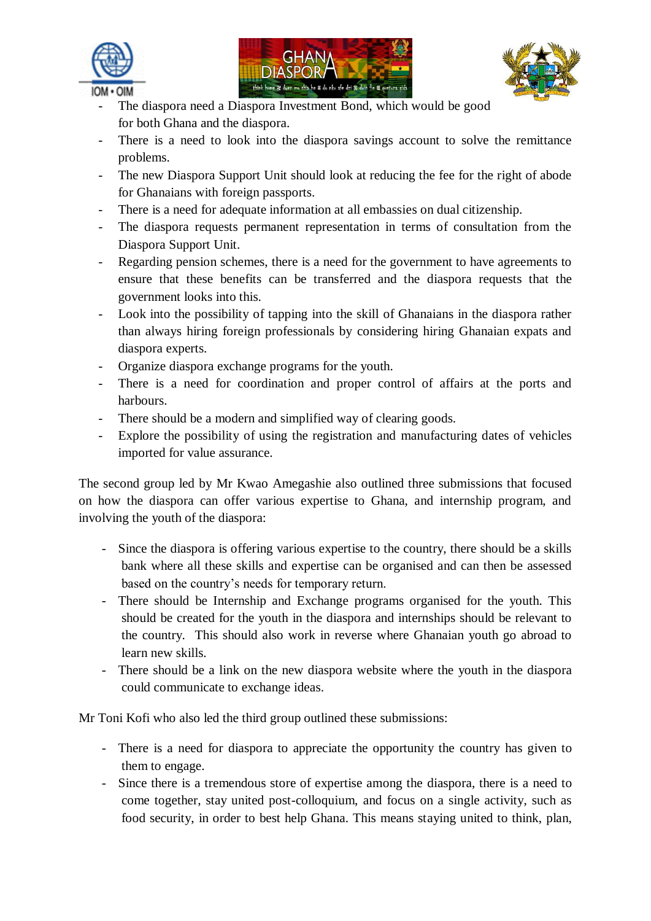





- The diaspora need a Diaspora Investment Bond, which would be good for both Ghana and the diaspora.
- There is a need to look into the diaspora savings account to solve the remittance problems.
- The new Diaspora Support Unit should look at reducing the fee for the right of abode for Ghanaians with foreign passports.
- There is a need for adequate information at all embassies on dual citizenship.
- The diaspora requests permanent representation in terms of consultation from the Diaspora Support Unit.
- Regarding pension schemes, there is a need for the government to have agreements to ensure that these benefits can be transferred and the diaspora requests that the government looks into this.
- Look into the possibility of tapping into the skill of Ghanaians in the diaspora rather than always hiring foreign professionals by considering hiring Ghanaian expats and diaspora experts.
- Organize diaspora exchange programs for the youth.
- There is a need for coordination and proper control of affairs at the ports and harbours.
- There should be a modern and simplified way of clearing goods.
- Explore the possibility of using the registration and manufacturing dates of vehicles imported for value assurance.

The second group led by Mr Kwao Amegashie also outlined three submissions that focused on how the diaspora can offer various expertise to Ghana, and internship program, and involving the youth of the diaspora:

- Since the diaspora is offering various expertise to the country, there should be a skills bank where all these skills and expertise can be organised and can then be assessed based on the country's needs for temporary return.
- There should be Internship and Exchange programs organised for the youth. This should be created for the youth in the diaspora and internships should be relevant to the country. This should also work in reverse where Ghanaian youth go abroad to learn new skills.
- There should be a link on the new diaspora website where the youth in the diaspora could communicate to exchange ideas.

Mr Toni Kofi who also led the third group outlined these submissions:

- There is a need for diaspora to appreciate the opportunity the country has given to them to engage.
- Since there is a tremendous store of expertise among the diaspora, there is a need to come together, stay united post-colloquium, and focus on a single activity, such as food security, in order to best help Ghana. This means staying united to think, plan,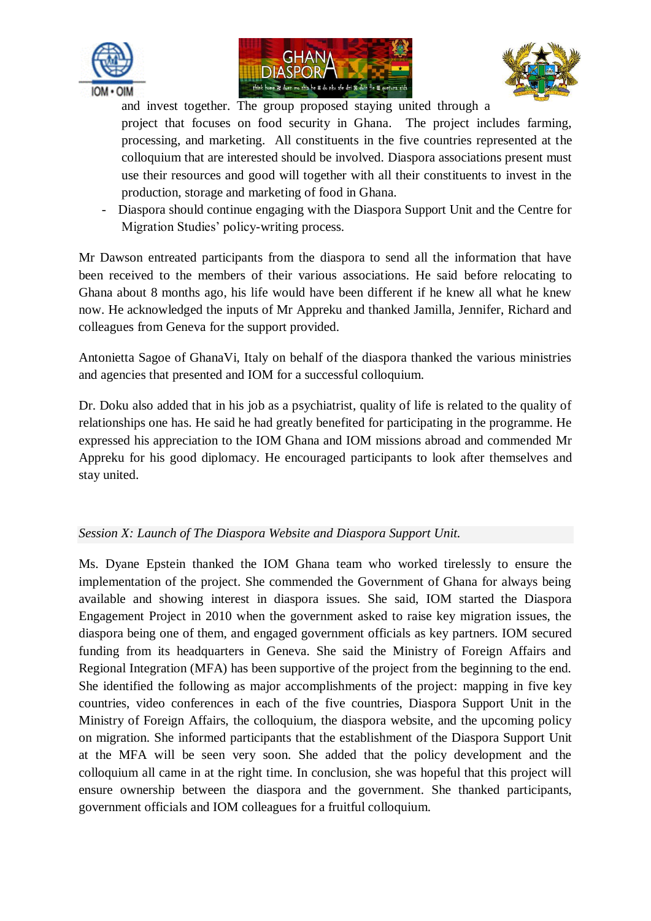





and invest together. The group proposed staying united through a

project that focuses on food security in Ghana. The project includes farming, processing, and marketing. All constituents in the five countries represented at the colloquium that are interested should be involved. Diaspora associations present must use their resources and good will together with all their constituents to invest in the production, storage and marketing of food in Ghana.

- Diaspora should continue engaging with the Diaspora Support Unit and the Centre for Migration Studies' policy-writing process.

Mr Dawson entreated participants from the diaspora to send all the information that have been received to the members of their various associations. He said before relocating to Ghana about 8 months ago, his life would have been different if he knew all what he knew now. He acknowledged the inputs of Mr Appreku and thanked Jamilla, Jennifer, Richard and colleagues from Geneva for the support provided.

Antonietta Sagoe of GhanaVi, Italy on behalf of the diaspora thanked the various ministries and agencies that presented and IOM for a successful colloquium.

Dr. Doku also added that in his job as a psychiatrist, quality of life is related to the quality of relationships one has. He said he had greatly benefited for participating in the programme. He expressed his appreciation to the IOM Ghana and IOM missions abroad and commended Mr Appreku for his good diplomacy. He encouraged participants to look after themselves and stay united.

## *Session X: Launch of The Diaspora Website and Diaspora Support Unit.*

Ms. Dyane Epstein thanked the IOM Ghana team who worked tirelessly to ensure the implementation of the project. She commended the Government of Ghana for always being available and showing interest in diaspora issues. She said, IOM started the Diaspora Engagement Project in 2010 when the government asked to raise key migration issues, the diaspora being one of them, and engaged government officials as key partners. IOM secured funding from its headquarters in Geneva. She said the Ministry of Foreign Affairs and Regional Integration (MFA) has been supportive of the project from the beginning to the end. She identified the following as major accomplishments of the project: mapping in five key countries, video conferences in each of the five countries, Diaspora Support Unit in the Ministry of Foreign Affairs, the colloquium, the diaspora website, and the upcoming policy on migration. She informed participants that the establishment of the Diaspora Support Unit at the MFA will be seen very soon. She added that the policy development and the colloquium all came in at the right time. In conclusion, she was hopeful that this project will ensure ownership between the diaspora and the government. She thanked participants, government officials and IOM colleagues for a fruitful colloquium.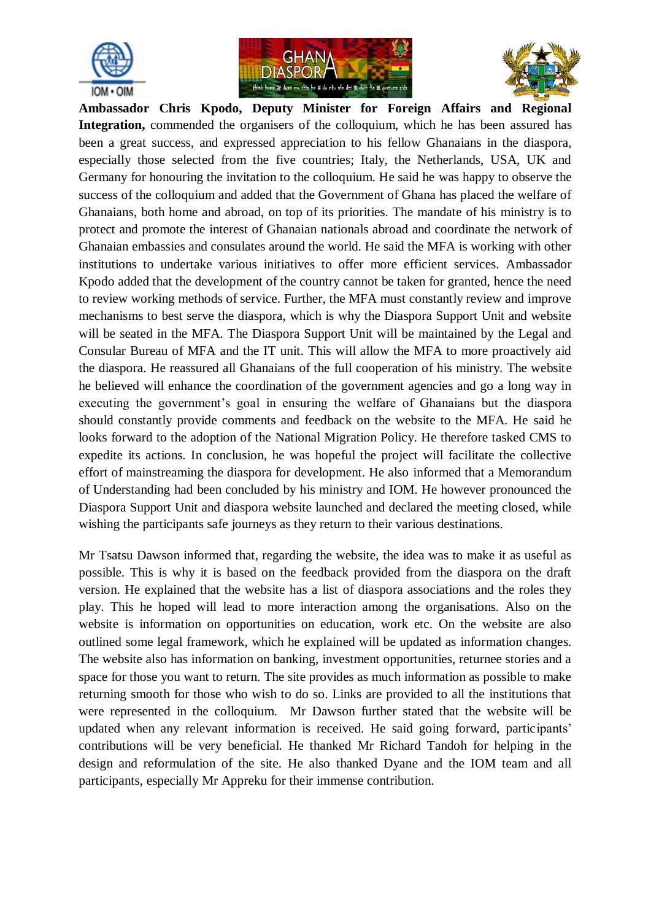





**Ambassador Chris Kpodo, Deputy Minister for Foreign Affairs and Regional Integration,** commended the organisers of the colloquium, which he has been assured has been a great success, and expressed appreciation to his fellow Ghanaians in the diaspora, especially those selected from the five countries; Italy, the Netherlands, USA, UK and Germany for honouring the invitation to the colloquium. He said he was happy to observe the success of the colloquium and added that the Government of Ghana has placed the welfare of Ghanaians, both home and abroad, on top of its priorities. The mandate of his ministry is to protect and promote the interest of Ghanaian nationals abroad and coordinate the network of Ghanaian embassies and consulates around the world. He said the MFA is working with other institutions to undertake various initiatives to offer more efficient services. Ambassador Kpodo added that the development of the country cannot be taken for granted, hence the need to review working methods of service. Further, the MFA must constantly review and improve mechanisms to best serve the diaspora, which is why the Diaspora Support Unit and website will be seated in the MFA. The Diaspora Support Unit will be maintained by the Legal and Consular Bureau of MFA and the IT unit. This will allow the MFA to more proactively aid the diaspora. He reassured all Ghanaians of the full cooperation of his ministry. The website he believed will enhance the coordination of the government agencies and go a long way in executing the government's goal in ensuring the welfare of Ghanaians but the diaspora should constantly provide comments and feedback on the website to the MFA. He said he looks forward to the adoption of the National Migration Policy. He therefore tasked CMS to expedite its actions. In conclusion, he was hopeful the project will facilitate the collective effort of mainstreaming the diaspora for development. He also informed that a Memorandum of Understanding had been concluded by his ministry and IOM. He however pronounced the Diaspora Support Unit and diaspora website launched and declared the meeting closed, while wishing the participants safe journeys as they return to their various destinations.

Mr Tsatsu Dawson informed that, regarding the website, the idea was to make it as useful as possible. This is why it is based on the feedback provided from the diaspora on the draft version. He explained that the website has a list of diaspora associations and the roles they play. This he hoped will lead to more interaction among the organisations. Also on the website is information on opportunities on education, work etc. On the website are also outlined some legal framework, which he explained will be updated as information changes. The website also has information on banking, investment opportunities, returnee stories and a space for those you want to return. The site provides as much information as possible to make returning smooth for those who wish to do so. Links are provided to all the institutions that were represented in the colloquium. Mr Dawson further stated that the website will be updated when any relevant information is received. He said going forward, participants' contributions will be very beneficial. He thanked Mr Richard Tandoh for helping in the design and reformulation of the site. He also thanked Dyane and the IOM team and all participants, especially Mr Appreku for their immense contribution.